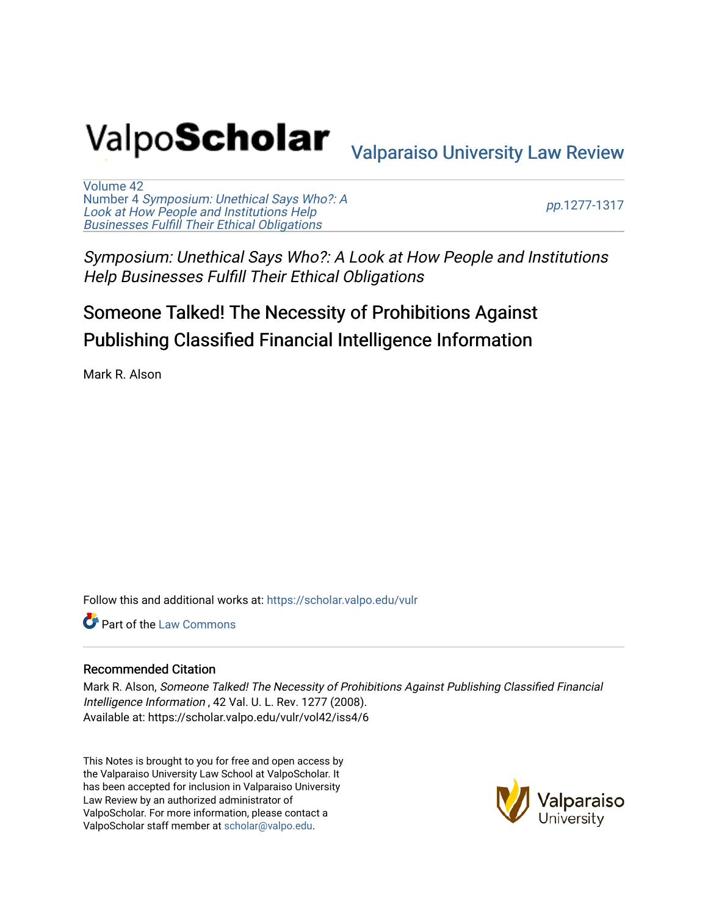# Valpo**Scholar** <sub>Valparaiso University Law Review</sub>

[Volume 42](https://scholar.valpo.edu/vulr/vol42) Number 4 [Symposium: Unethical Says Who?: A](https://scholar.valpo.edu/vulr/vol42/iss4)  [Look at How People and Institutions Help](https://scholar.valpo.edu/vulr/vol42/iss4)  [Businesses Fulfill Their Ethical Obligations](https://scholar.valpo.edu/vulr/vol42/iss4)

pp.[1277-1317](https://scholar.valpo.edu/vulr/vol42/iss4/6) 

Symposium: Unethical Says Who?: A Look at How People and Institutions Help Businesses Fulfill Their Ethical Obligations

# Someone Talked! The Necessity of Prohibitions Against Publishing Classified Financial Intelligence Information

Mark R. Alson

Follow this and additional works at: [https://scholar.valpo.edu/vulr](https://scholar.valpo.edu/vulr?utm_source=scholar.valpo.edu%2Fvulr%2Fvol42%2Fiss4%2F6&utm_medium=PDF&utm_campaign=PDFCoverPages)

**Part of the [Law Commons](http://network.bepress.com/hgg/discipline/578?utm_source=scholar.valpo.edu%2Fvulr%2Fvol42%2Fiss4%2F6&utm_medium=PDF&utm_campaign=PDFCoverPages)** 

### Recommended Citation

Mark R. Alson, Someone Talked! The Necessity of Prohibitions Against Publishing Classified Financial Intelligence Information , 42 Val. U. L. Rev. 1277 (2008). Available at: https://scholar.valpo.edu/vulr/vol42/iss4/6

This Notes is brought to you for free and open access by the Valparaiso University Law School at ValpoScholar. It has been accepted for inclusion in Valparaiso University Law Review by an authorized administrator of ValpoScholar. For more information, please contact a ValpoScholar staff member at [scholar@valpo.edu](mailto:scholar@valpo.edu).

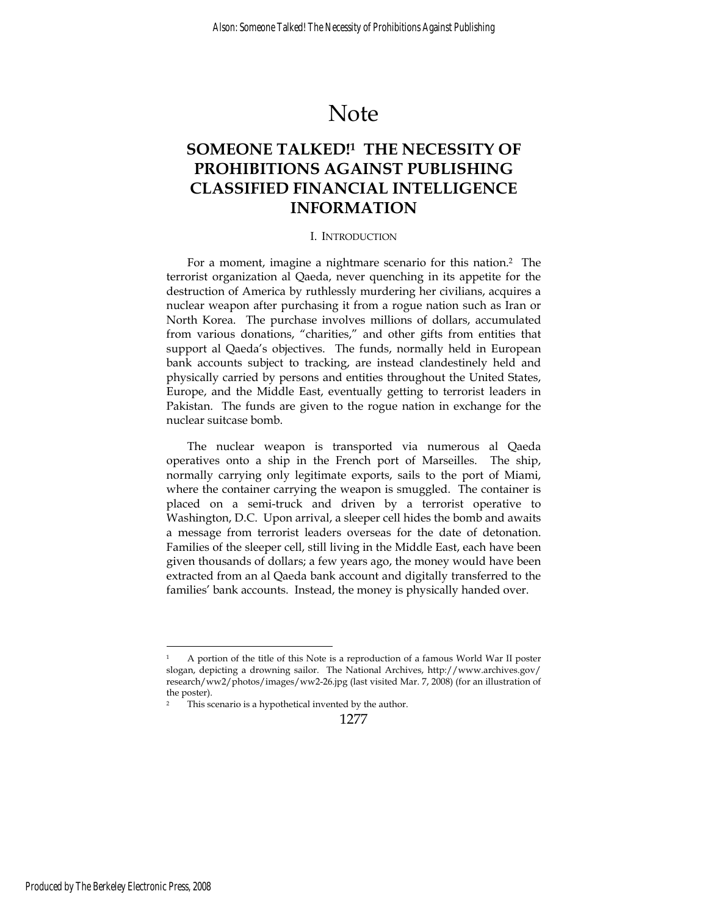# **Note**

## **SOMEONE TALKED!1 THE NECESSITY OF PROHIBITIONS AGAINST PUBLISHING CLASSIFIED FINANCIAL INTELLIGENCE INFORMATION**

#### I. INTRODUCTION

For a moment, imagine a nightmare scenario for this nation.2 The terrorist organization al Qaeda, never quenching in its appetite for the destruction of America by ruthlessly murdering her civilians, acquires a nuclear weapon after purchasing it from a rogue nation such as Iran or North Korea. The purchase involves millions of dollars, accumulated from various donations, "charities," and other gifts from entities that support al Qaeda's objectives. The funds, normally held in European bank accounts subject to tracking, are instead clandestinely held and physically carried by persons and entities throughout the United States, Europe, and the Middle East, eventually getting to terrorist leaders in Pakistan. The funds are given to the rogue nation in exchange for the nuclear suitcase bomb.

The nuclear weapon is transported via numerous al Qaeda operatives onto a ship in the French port of Marseilles. The ship, normally carrying only legitimate exports, sails to the port of Miami, where the container carrying the weapon is smuggled. The container is placed on a semi-truck and driven by a terrorist operative to Washington, D.C. Upon arrival, a sleeper cell hides the bomb and awaits a message from terrorist leaders overseas for the date of detonation. Families of the sleeper cell, still living in the Middle East, each have been given thousands of dollars; a few years ago, the money would have been extracted from an al Qaeda bank account and digitally transferred to the families' bank accounts. Instead, the money is physically handed over.

<sup>1</sup> A portion of the title of this Note is a reproduction of a famous World War II poster slogan, depicting a drowning sailor. The National Archives, http://www.archives.gov/ research/ww2/photos/images/ww2-26.jpg (last visited Mar. 7, 2008) (for an illustration of the poster).

This scenario is a hypothetical invented by the author.

<sup>1277</sup>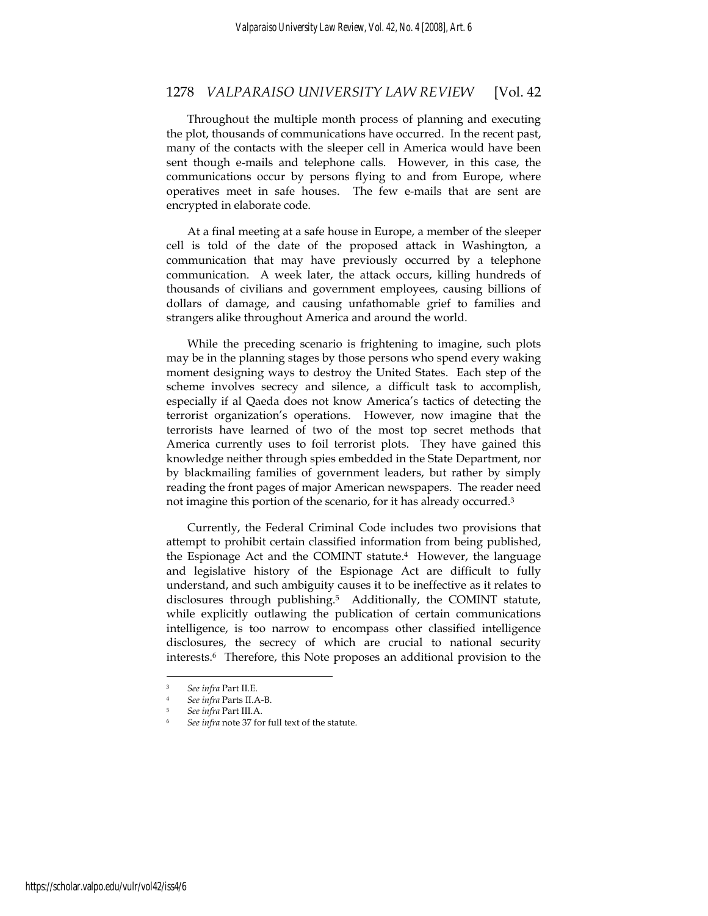Throughout the multiple month process of planning and executing the plot, thousands of communications have occurred. In the recent past, many of the contacts with the sleeper cell in America would have been sent though e-mails and telephone calls. However, in this case, the communications occur by persons flying to and from Europe, where operatives meet in safe houses. The few e-mails that are sent are encrypted in elaborate code.

At a final meeting at a safe house in Europe, a member of the sleeper cell is told of the date of the proposed attack in Washington, a communication that may have previously occurred by a telephone communication. A week later, the attack occurs, killing hundreds of thousands of civilians and government employees, causing billions of dollars of damage, and causing unfathomable grief to families and strangers alike throughout America and around the world.

While the preceding scenario is frightening to imagine, such plots may be in the planning stages by those persons who spend every waking moment designing ways to destroy the United States. Each step of the scheme involves secrecy and silence, a difficult task to accomplish, especially if al Qaeda does not know America's tactics of detecting the terrorist organization's operations. However, now imagine that the terrorists have learned of two of the most top secret methods that America currently uses to foil terrorist plots. They have gained this knowledge neither through spies embedded in the State Department, nor by blackmailing families of government leaders, but rather by simply reading the front pages of major American newspapers. The reader need not imagine this portion of the scenario, for it has already occurred.3

Currently, the Federal Criminal Code includes two provisions that attempt to prohibit certain classified information from being published, the Espionage Act and the COMINT statute.<sup>4</sup> However, the language and legislative history of the Espionage Act are difficult to fully understand, and such ambiguity causes it to be ineffective as it relates to disclosures through publishing.5 Additionally, the COMINT statute, while explicitly outlawing the publication of certain communications intelligence, is too narrow to encompass other classified intelligence disclosures, the secrecy of which are crucial to national security interests.6 Therefore, this Note proposes an additional provision to the

<sup>3</sup> *See infra* Part II.E. 4 *See infra* Parts II.A-B.

<sup>5</sup> *See infra* Part III.A. 6 *See infra* note 37 for full text of the statute.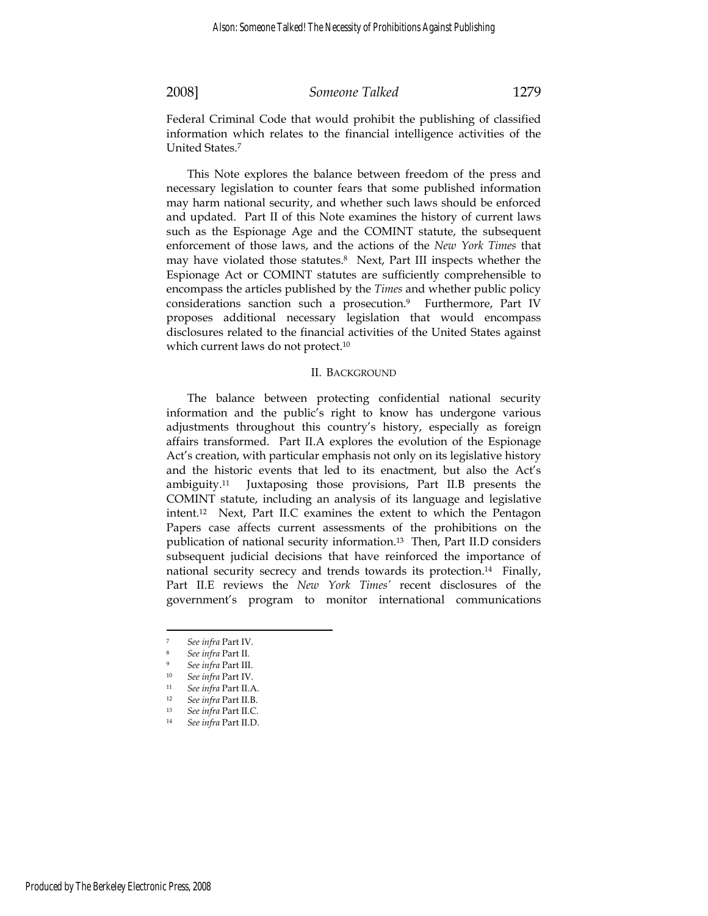Federal Criminal Code that would prohibit the publishing of classified information which relates to the financial intelligence activities of the United States.7

This Note explores the balance between freedom of the press and necessary legislation to counter fears that some published information may harm national security, and whether such laws should be enforced and updated. Part II of this Note examines the history of current laws such as the Espionage Age and the COMINT statute, the subsequent enforcement of those laws, and the actions of the *New York Times* that may have violated those statutes.<sup>8</sup> Next, Part III inspects whether the Espionage Act or COMINT statutes are sufficiently comprehensible to encompass the articles published by the *Times* and whether public policy considerations sanction such a prosecution.9 Furthermore, Part IV proposes additional necessary legislation that would encompass disclosures related to the financial activities of the United States against which current laws do not protect.<sup>10</sup>

#### II. BACKGROUND

The balance between protecting confidential national security information and the public's right to know has undergone various adjustments throughout this country's history, especially as foreign affairs transformed. Part II.A explores the evolution of the Espionage Act's creation, with particular emphasis not only on its legislative history and the historic events that led to its enactment, but also the Act's ambiguity.11 Juxtaposing those provisions, Part II.B presents the COMINT statute, including an analysis of its language and legislative intent.12 Next, Part II.C examines the extent to which the Pentagon Papers case affects current assessments of the prohibitions on the publication of national security information.13 Then, Part II.D considers subsequent judicial decisions that have reinforced the importance of national security secrecy and trends towards its protection.14 Finally, Part II.E reviews the *New York Times'* recent disclosures of the government's program to monitor international communications

<sup>7</sup> *See infra* Part IV. 8 *See infra* Part II.

<sup>9</sup> *See infra* Part III.

<sup>10</sup> *See infra* Part IV. 11 *See infra* Part II.A. 12 *See infra* Part II.B.

<sup>13</sup> *See infra* Part II.C. 14 *See infra* Part II.D.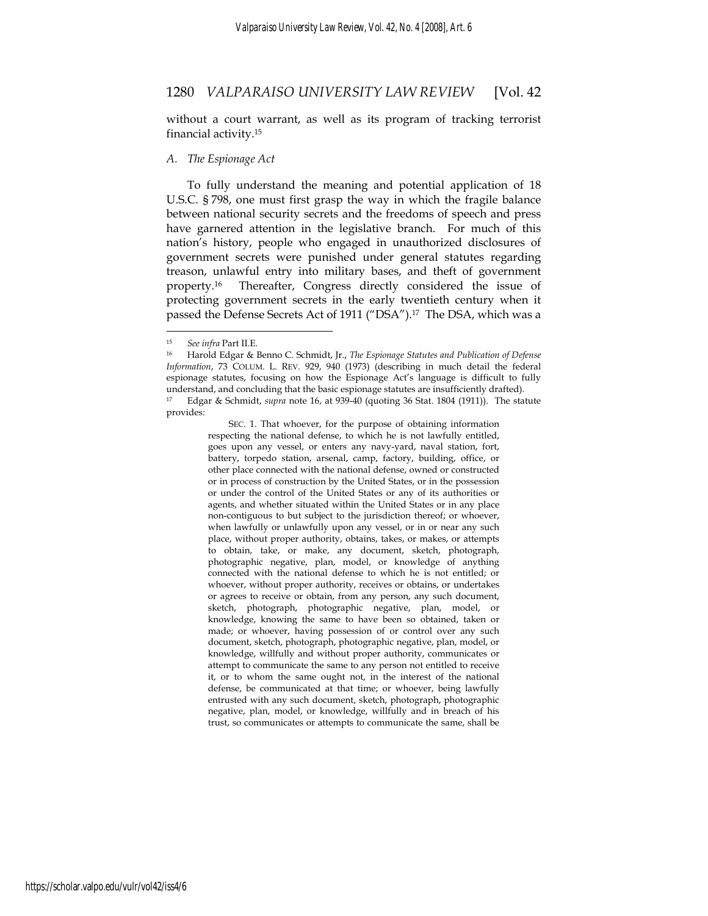without a court warrant, as well as its program of tracking terrorist financial activity.15

#### *A. The Espionage Act*

To fully understand the meaning and potential application of 18 U.S.C. § 798, one must first grasp the way in which the fragile balance between national security secrets and the freedoms of speech and press have garnered attention in the legislative branch. For much of this nation's history, people who engaged in unauthorized disclosures of government secrets were punished under general statutes regarding treason, unlawful entry into military bases, and theft of government property.16 Thereafter, Congress directly considered the issue of protecting government secrets in the early twentieth century when it passed the Defense Secrets Act of 1911 ("DSA").17 The DSA, which was a

 $\overline{a}$ 

 SEC. 1. That whoever, for the purpose of obtaining information respecting the national defense, to which he is not lawfully entitled, goes upon any vessel, or enters any navy-yard, naval station, fort, battery, torpedo station, arsenal, camp, factory, building, office, or other place connected with the national defense, owned or constructed or in process of construction by the United States, or in the possession or under the control of the United States or any of its authorities or agents, and whether situated within the United States or in any place non-contiguous to but subject to the jurisdiction thereof; or whoever, when lawfully or unlawfully upon any vessel, or in or near any such place, without proper authority, obtains, takes, or makes, or attempts to obtain, take, or make, any document, sketch, photograph, photographic negative, plan, model, or knowledge of anything connected with the national defense to which he is not entitled; or whoever, without proper authority, receives or obtains, or undertakes or agrees to receive or obtain, from any person, any such document, sketch, photograph, photographic negative, plan, model, or knowledge, knowing the same to have been so obtained, taken or made; or whoever, having possession of or control over any such document, sketch, photograph, photographic negative, plan, model, or knowledge, willfully and without proper authority, communicates or attempt to communicate the same to any person not entitled to receive it, or to whom the same ought not, in the interest of the national defense, be communicated at that time; or whoever, being lawfully entrusted with any such document, sketch, photograph, photographic negative, plan, model, or knowledge, willfully and in breach of his trust, so communicates or attempts to communicate the same, shall be

<sup>15</sup> *See infra* Part II.E. 16 Harold Edgar & Benno C. Schmidt, Jr., *The Espionage Statutes and Publication of Defense Information*, 73 COLUM. L. REV. 929, 940 (1973) (describing in much detail the federal espionage statutes, focusing on how the Espionage Act's language is difficult to fully understand, and concluding that the basic espionage statutes are insufficiently drafted). 17 Edgar & Schmidt, *supra* note 16, at 939-40 (quoting 36 Stat. 1804 (1911)). The statute provides: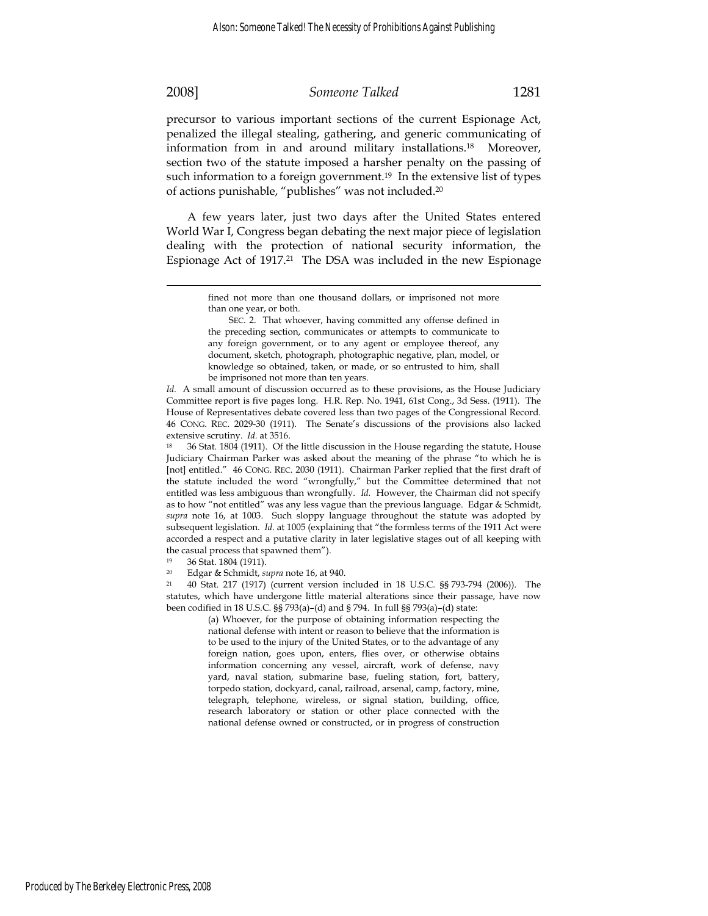#### 2008] *Someone Talked* 1281

precursor to various important sections of the current Espionage Act, penalized the illegal stealing, gathering, and generic communicating of information from in and around military installations.18 Moreover, section two of the statute imposed a harsher penalty on the passing of such information to a foreign government.<sup>19</sup> In the extensive list of types of actions punishable, "publishes" was not included.20

A few years later, just two days after the United States entered World War I, Congress began debating the next major piece of legislation dealing with the protection of national security information, the Espionage Act of 1917.21 The DSA was included in the new Espionage

 SEC. 2. That whoever, having committed any offense defined in the preceding section, communicates or attempts to communicate to any foreign government, or to any agent or employee thereof, any document, sketch, photograph, photographic negative, plan, model, or knowledge so obtained, taken, or made, or so entrusted to him, shall be imprisoned not more than ten years.

*Id.* A small amount of discussion occurred as to these provisions, as the House Judiciary Committee report is five pages long. H.R. Rep. No. 1941, 61st Cong., 3d Sess. (1911). The House of Representatives debate covered less than two pages of the Congressional Record. 46 CONG. REC. 2029-30 (1911). The Senate's discussions of the provisions also lacked extensive scrutiny. *Id.* at 3516.

18 36 Stat. 1804 (1911). Of the little discussion in the House regarding the statute, House Judiciary Chairman Parker was asked about the meaning of the phrase "to which he is [not] entitled." 46 CONG. REC. 2030 (1911). Chairman Parker replied that the first draft of the statute included the word "wrongfully," but the Committee determined that not entitled was less ambiguous than wrongfully. *Id.* However, the Chairman did not specify as to how "not entitled" was any less vague than the previous language. Edgar & Schmidt, *supra* note 16, at 1003. Such sloppy language throughout the statute was adopted by subsequent legislation. *Id.* at 1005 (explaining that "the formless terms of the 1911 Act were accorded a respect and a putative clarity in later legislative stages out of all keeping with the casual process that spawned them").

19 36 Stat. 1804 (1911).

<sup>20</sup> Edgar & Schmidt, *supra* note 16, at 940.<br><sup>21</sup> 40 Stat. 217 (1917) (current version included in 18 U.S.C. §§ 793-794 (2006)). The statutes, which have undergone little material alterations since their passage, have now been codified in 18 U.S.C. §§ 793(a)–(d) and § 794. In full §§ 793(a)–(d) state:

> (a) Whoever, for the purpose of obtaining information respecting the national defense with intent or reason to believe that the information is to be used to the injury of the United States, or to the advantage of any foreign nation, goes upon, enters, flies over, or otherwise obtains information concerning any vessel, aircraft, work of defense, navy yard, naval station, submarine base, fueling station, fort, battery, torpedo station, dockyard, canal, railroad, arsenal, camp, factory, mine, telegraph, telephone, wireless, or signal station, building, office, research laboratory or station or other place connected with the national defense owned or constructed, or in progress of construction

fined not more than one thousand dollars, or imprisoned not more than one year, or both.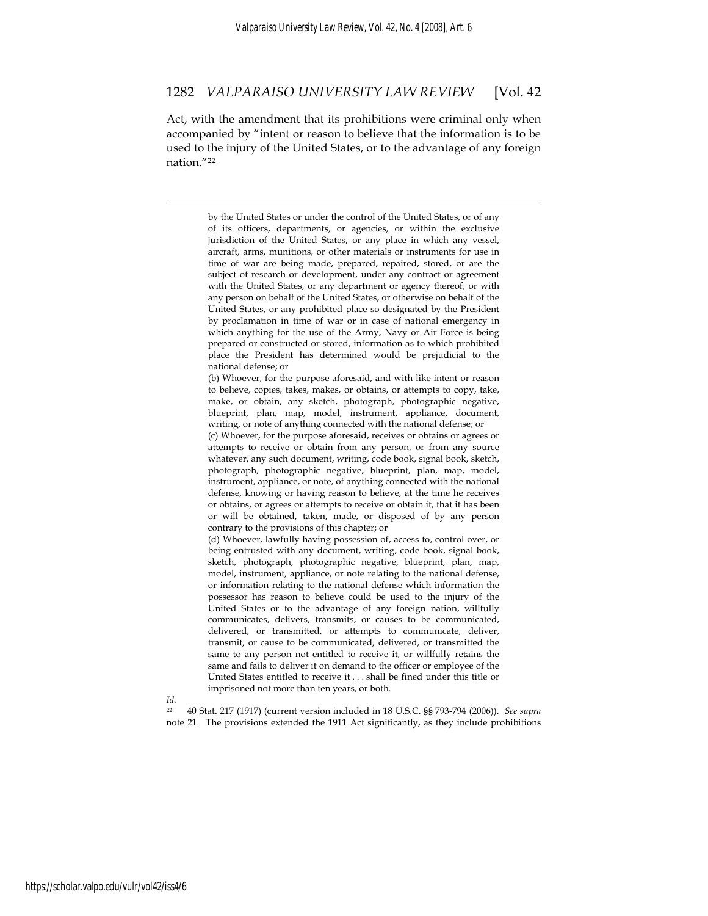Act, with the amendment that its prohibitions were criminal only when accompanied by "intent or reason to believe that the information is to be used to the injury of the United States, or to the advantage of any foreign nation."22

> by the United States or under the control of the United States, or of any of its officers, departments, or agencies, or within the exclusive jurisdiction of the United States, or any place in which any vessel, aircraft, arms, munitions, or other materials or instruments for use in time of war are being made, prepared, repaired, stored, or are the subject of research or development, under any contract or agreement with the United States, or any department or agency thereof, or with any person on behalf of the United States, or otherwise on behalf of the United States, or any prohibited place so designated by the President by proclamation in time of war or in case of national emergency in which anything for the use of the Army, Navy or Air Force is being prepared or constructed or stored, information as to which prohibited place the President has determined would be prejudicial to the national defense; or

> (b) Whoever, for the purpose aforesaid, and with like intent or reason to believe, copies, takes, makes, or obtains, or attempts to copy, take, make, or obtain, any sketch, photograph, photographic negative, blueprint, plan, map, model, instrument, appliance, document, writing, or note of anything connected with the national defense; or

> (c) Whoever, for the purpose aforesaid, receives or obtains or agrees or attempts to receive or obtain from any person, or from any source whatever, any such document, writing, code book, signal book, sketch, photograph, photographic negative, blueprint, plan, map, model, instrument, appliance, or note, of anything connected with the national defense, knowing or having reason to believe, at the time he receives or obtains, or agrees or attempts to receive or obtain it, that it has been or will be obtained, taken, made, or disposed of by any person contrary to the provisions of this chapter; or

> (d) Whoever, lawfully having possession of, access to, control over, or being entrusted with any document, writing, code book, signal book, sketch, photograph, photographic negative, blueprint, plan, map, model, instrument, appliance, or note relating to the national defense, or information relating to the national defense which information the possessor has reason to believe could be used to the injury of the United States or to the advantage of any foreign nation, willfully communicates, delivers, transmits, or causes to be communicated, delivered, or transmitted, or attempts to communicate, deliver, transmit, or cause to be communicated, delivered, or transmitted the same to any person not entitled to receive it, or willfully retains the same and fails to deliver it on demand to the officer or employee of the United States entitled to receive it . . . shall be fined under this title or imprisoned not more than ten years, or both.

*Id.*

 $\overline{a}$ 

22 40 Stat. 217 (1917) (current version included in 18 U.S.C. §§ 793-794 (2006)). *See supra* note 21. The provisions extended the 1911 Act significantly, as they include prohibitions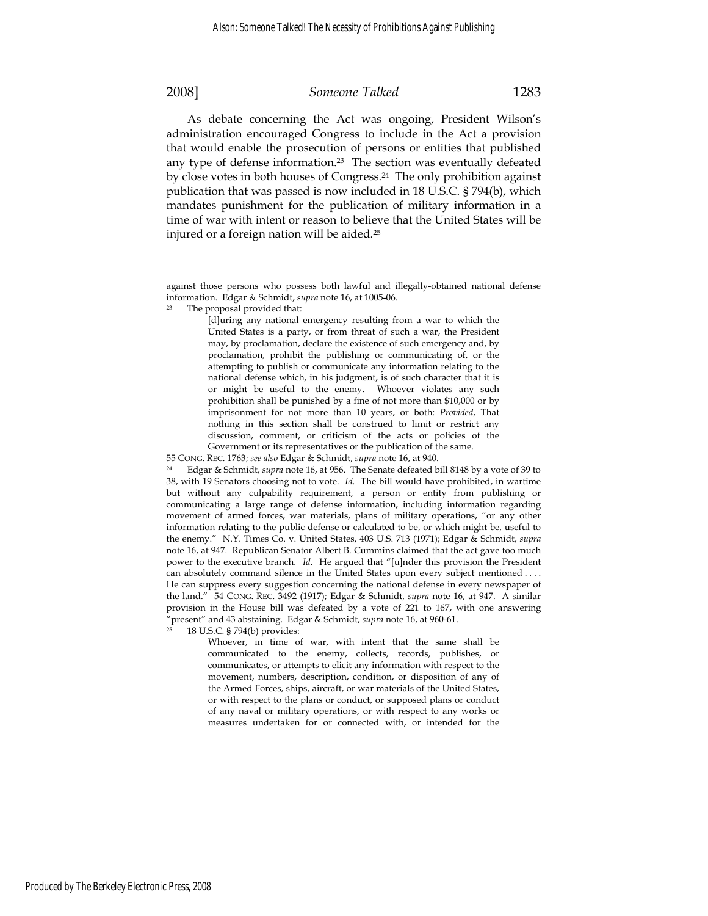### 2008] *Someone Talked* 1283

As debate concerning the Act was ongoing, President Wilson's administration encouraged Congress to include in the Act a provision that would enable the prosecution of persons or entities that published any type of defense information.23 The section was eventually defeated by close votes in both houses of Congress.24 The only prohibition against publication that was passed is now included in 18 U.S.C. § 794(b), which mandates punishment for the publication of military information in a time of war with intent or reason to believe that the United States will be injured or a foreign nation will be aided.25

25 18 U.S.C. § 794(b) provides:

Whoever, in time of war, with intent that the same shall be communicated to the enemy, collects, records, publishes, or communicates, or attempts to elicit any information with respect to the movement, numbers, description, condition, or disposition of any of the Armed Forces, ships, aircraft, or war materials of the United States, or with respect to the plans or conduct, or supposed plans or conduct of any naval or military operations, or with respect to any works or measures undertaken for or connected with, or intended for the

against those persons who possess both lawful and illegally-obtained national defense information. Edgar & Schmidt, *supra* note 16, at 1005-06.

The proposal provided that:

<sup>[</sup>d]uring any national emergency resulting from a war to which the United States is a party, or from threat of such a war, the President may, by proclamation, declare the existence of such emergency and, by proclamation, prohibit the publishing or communicating of, or the attempting to publish or communicate any information relating to the national defense which, in his judgment, is of such character that it is or might be useful to the enemy. Whoever violates any such prohibition shall be punished by a fine of not more than \$10,000 or by imprisonment for not more than 10 years, or both: *Provided*, That nothing in this section shall be construed to limit or restrict any discussion, comment, or criticism of the acts or policies of the Government or its representatives or the publication of the same.

<sup>55</sup> CONG. REC. 1763; *see also* Edgar & Schmidt, *supra* note 16, at 940.

<sup>24</sup> Edgar & Schmidt, *supra* note 16, at 956. The Senate defeated bill 8148 by a vote of 39 to 38, with 19 Senators choosing not to vote. *Id.* The bill would have prohibited, in wartime but without any culpability requirement, a person or entity from publishing or communicating a large range of defense information, including information regarding movement of armed forces, war materials, plans of military operations, "or any other information relating to the public defense or calculated to be, or which might be, useful to the enemy." N.Y. Times Co. v. United States, 403 U.S. 713 (1971); Edgar & Schmidt, *supra* note 16, at 947. Republican Senator Albert B. Cummins claimed that the act gave too much power to the executive branch. *Id.* He argued that "[u]nder this provision the President can absolutely command silence in the United States upon every subject mentioned . . . . He can suppress every suggestion concerning the national defense in every newspaper of the land." 54 CONG. REC. 3492 (1917); Edgar & Schmidt, *supra* note 16, at 947. A similar provision in the House bill was defeated by a vote of 221 to 167, with one answering "present" and 43 abstaining. Edgar & Schmidt, *supra* note 16, at 960-61.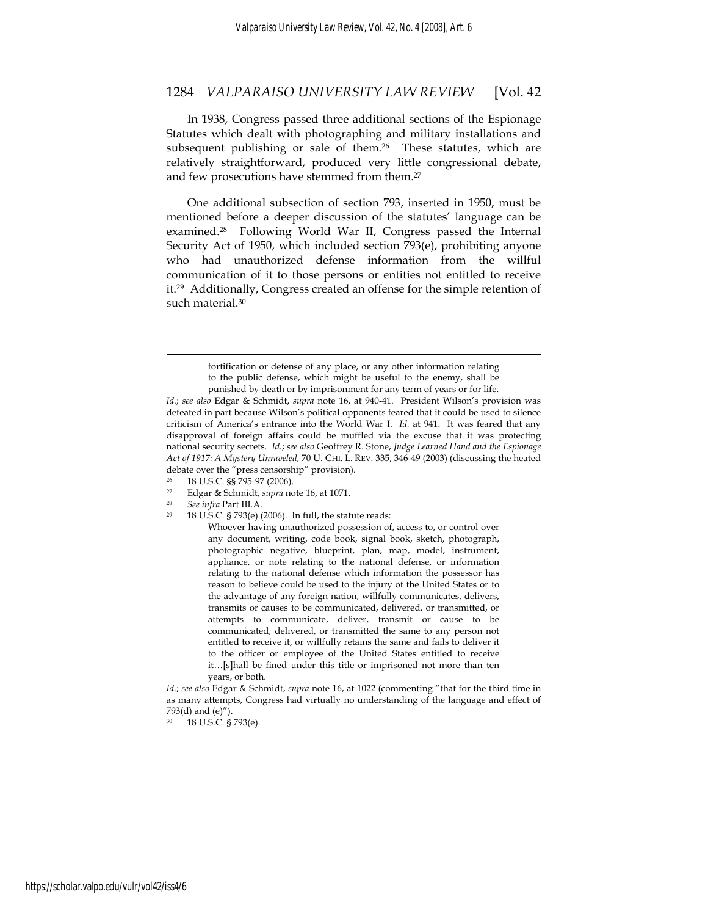In 1938, Congress passed three additional sections of the Espionage Statutes which dealt with photographing and military installations and subsequent publishing or sale of them.<sup>26</sup> These statutes, which are relatively straightforward, produced very little congressional debate, and few prosecutions have stemmed from them.27

One additional subsection of section 793, inserted in 1950, must be mentioned before a deeper discussion of the statutes' language can be examined.28 Following World War II, Congress passed the Internal Security Act of 1950, which included section 793(e), prohibiting anyone who had unauthorized defense information from the willful communication of it to those persons or entities not entitled to receive it.29 Additionally, Congress created an offense for the simple retention of such material.<sup>30</sup>

- 
- 

 $\overline{a}$ 

27 Edgar & Schmidt, *supra* note 16, at 1071. 28 *See infra* Part III.A. 29 18 U.S.C. § 793(e) (2006). In full, the statute reads:

Whoever having unauthorized possession of, access to, or control over any document, writing, code book, signal book, sketch, photograph, photographic negative, blueprint, plan, map, model, instrument, appliance, or note relating to the national defense, or information relating to the national defense which information the possessor has reason to believe could be used to the injury of the United States or to the advantage of any foreign nation, willfully communicates, delivers, transmits or causes to be communicated, delivered, or transmitted, or attempts to communicate, deliver, transmit or cause to be communicated, delivered, or transmitted the same to any person not entitled to receive it, or willfully retains the same and fails to deliver it to the officer or employee of the United States entitled to receive it…[s]hall be fined under this title or imprisoned not more than ten years, or both.

*Id.*; *see also* Edgar & Schmidt, *supra* note 16, at 1022 (commenting "that for the third time in as many attempts, Congress had virtually no understanding of the language and effect of 793(d) and (e)").

30 18 U.S.C. § 793(e).

fortification or defense of any place, or any other information relating to the public defense, which might be useful to the enemy, shall be punished by death or by imprisonment for any term of years or for life.

*Id.*; *see also* Edgar & Schmidt, *supra* note 16, at 940-41. President Wilson's provision was defeated in part because Wilson's political opponents feared that it could be used to silence criticism of America's entrance into the World War I. *Id.* at 941. It was feared that any disapproval of foreign affairs could be muffled via the excuse that it was protecting national security secrets. *Id.*; *see also* Geoffrey R. Stone, *Judge Learned Hand and the Espionage Act of 1917: A Mystery Unraveled*, 70 U. CHI. L. REV. 335, 346-49 (2003) (discussing the heated debate over the "press censorship" provision).

<sup>26 18</sup> U.S.C. §§ 795-97 (2006).<br>27 Edgar & Schmidt sunra po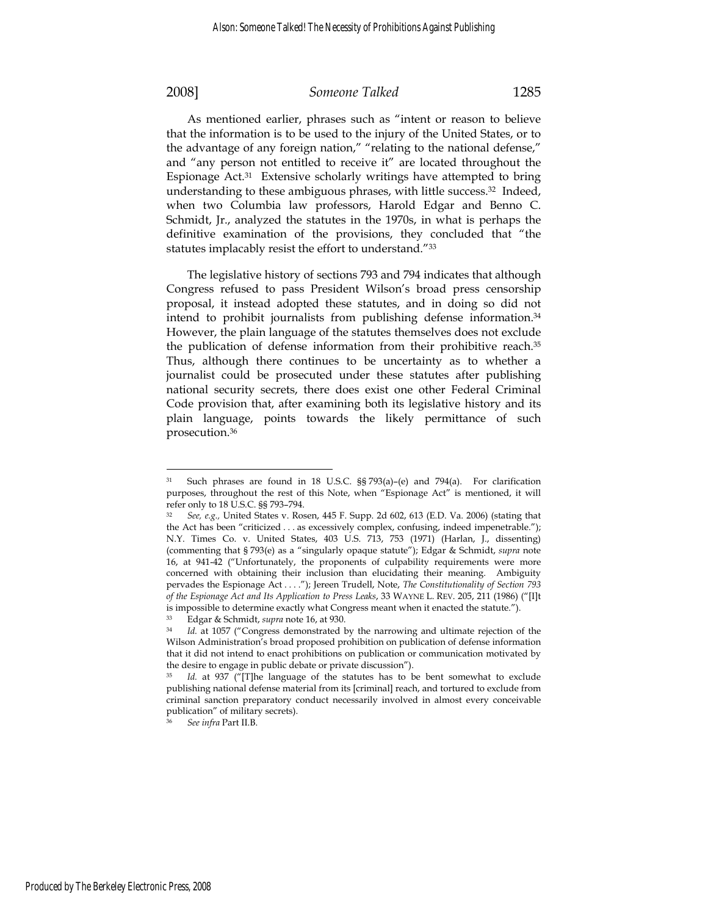### 2008] *Someone Talked* 1285

As mentioned earlier, phrases such as "intent or reason to believe that the information is to be used to the injury of the United States, or to the advantage of any foreign nation," "relating to the national defense," and "any person not entitled to receive it" are located throughout the Espionage Act.<sup>31</sup> Extensive scholarly writings have attempted to bring understanding to these ambiguous phrases, with little success.32 Indeed, when two Columbia law professors, Harold Edgar and Benno C. Schmidt, Jr., analyzed the statutes in the 1970s, in what is perhaps the definitive examination of the provisions, they concluded that "the statutes implacably resist the effort to understand."33

The legislative history of sections 793 and 794 indicates that although Congress refused to pass President Wilson's broad press censorship proposal, it instead adopted these statutes, and in doing so did not intend to prohibit journalists from publishing defense information.34 However, the plain language of the statutes themselves does not exclude the publication of defense information from their prohibitive reach.35 Thus, although there continues to be uncertainty as to whether a journalist could be prosecuted under these statutes after publishing national security secrets, there does exist one other Federal Criminal Code provision that, after examining both its legislative history and its plain language, points towards the likely permittance of such prosecution.36

<sup>31</sup> Such phrases are found in 18 U.S.C. §§ 793(a)–(e) and 794(a). For clarification purposes, throughout the rest of this Note, when "Espionage Act" is mentioned, it will refer only to 18 U.S.C. §§ 793–794.

<sup>32</sup> *See, e.g.,* United States v. Rosen, 445 F. Supp. 2d 602, 613 (E.D. Va. 2006) (stating that the Act has been "criticized . . . as excessively complex, confusing, indeed impenetrable."); N.Y. Times Co. v. United States, 403 U.S. 713, 753 (1971) (Harlan, J., dissenting) (commenting that § 793(e) as a "singularly opaque statute"); Edgar & Schmidt, *supra* note 16, at 941-42 ("Unfortunately, the proponents of culpability requirements were more concerned with obtaining their inclusion than elucidating their meaning. Ambiguity pervades the Espionage Act . . . ."); Jereen Trudell, Note, *The Constitutionality of Section 793 of the Espionage Act and Its Application to Press Leaks*, 33 WAYNE L. REV. 205, 211 (1986) ("[I]t is impossible to determine exactly what Congress meant when it enacted the statute.").

<sup>33</sup> Edgar & Schmidt, *supra* note 16, at 930. 34 *Id.* at 1057 ("Congress demonstrated by the narrowing and ultimate rejection of the Wilson Administration's broad proposed prohibition on publication of defense information that it did not intend to enact prohibitions on publication or communication motivated by the desire to engage in public debate or private discussion").

<sup>35</sup> *Id.* at 937 ("[T]he language of the statutes has to be bent somewhat to exclude publishing national defense material from its [criminal] reach, and tortured to exclude from criminal sanction preparatory conduct necessarily involved in almost every conceivable publication" of military secrets).

<sup>36</sup> *See infra* Part II.B.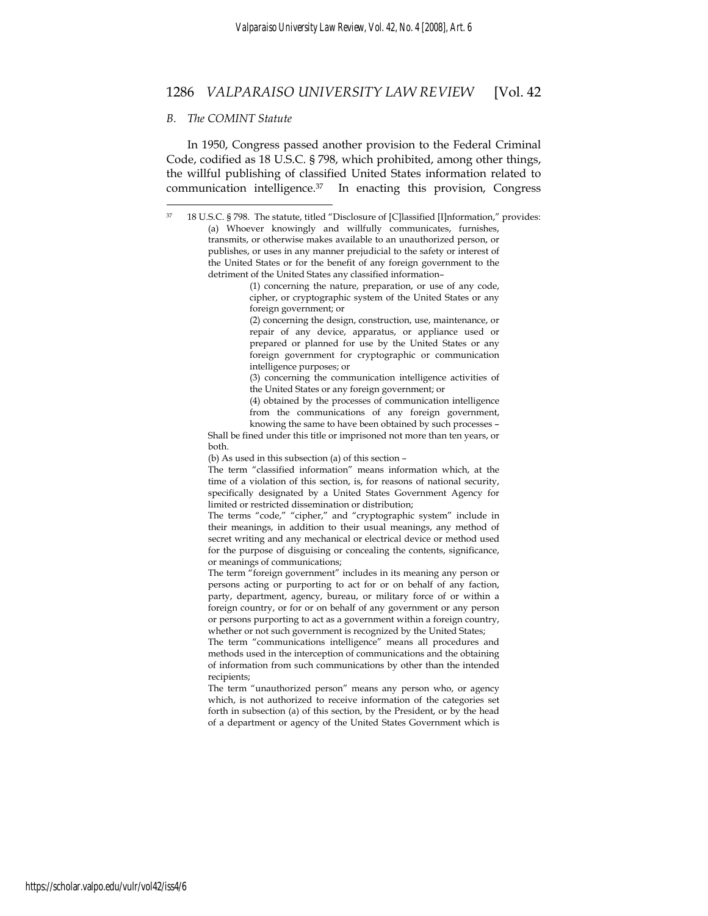#### *B. The COMINT Statute*

 $\overline{a}$ 

In 1950, Congress passed another provision to the Federal Criminal Code, codified as 18 U.S.C. § 798, which prohibited, among other things, the willful publishing of classified United States information related to communication intelligence.37 In enacting this provision, Congress

(1) concerning the nature, preparation, or use of any code, cipher, or cryptographic system of the United States or any foreign government; or

(2) concerning the design, construction, use, maintenance, or repair of any device, apparatus, or appliance used or prepared or planned for use by the United States or any foreign government for cryptographic or communication intelligence purposes; or

(3) concerning the communication intelligence activities of the United States or any foreign government; or

(4) obtained by the processes of communication intelligence from the communications of any foreign government, knowing the same to have been obtained by such processes –

Shall be fined under this title or imprisoned not more than ten years, or both.

(b) As used in this subsection (a) of this section –

The term "classified information" means information which, at the time of a violation of this section, is, for reasons of national security, specifically designated by a United States Government Agency for limited or restricted dissemination or distribution;

The terms "code," "cipher," and "cryptographic system" include in their meanings, in addition to their usual meanings, any method of secret writing and any mechanical or electrical device or method used for the purpose of disguising or concealing the contents, significance, or meanings of communications;

The term "foreign government" includes in its meaning any person or persons acting or purporting to act for or on behalf of any faction, party, department, agency, bureau, or military force of or within a foreign country, or for or on behalf of any government or any person or persons purporting to act as a government within a foreign country, whether or not such government is recognized by the United States;

The term "communications intelligence" means all procedures and methods used in the interception of communications and the obtaining of information from such communications by other than the intended recipients;

The term "unauthorized person" means any person who, or agency which, is not authorized to receive information of the categories set forth in subsection (a) of this section, by the President, or by the head of a department or agency of the United States Government which is

<sup>37 18</sup> U.S.C. § 798. The statute, titled "Disclosure of [C]lassified [I]nformation," provides: (a) Whoever knowingly and willfully communicates, furnishes, transmits, or otherwise makes available to an unauthorized person, or publishes, or uses in any manner prejudicial to the safety or interest of the United States or for the benefit of any foreign government to the detriment of the United States any classified information–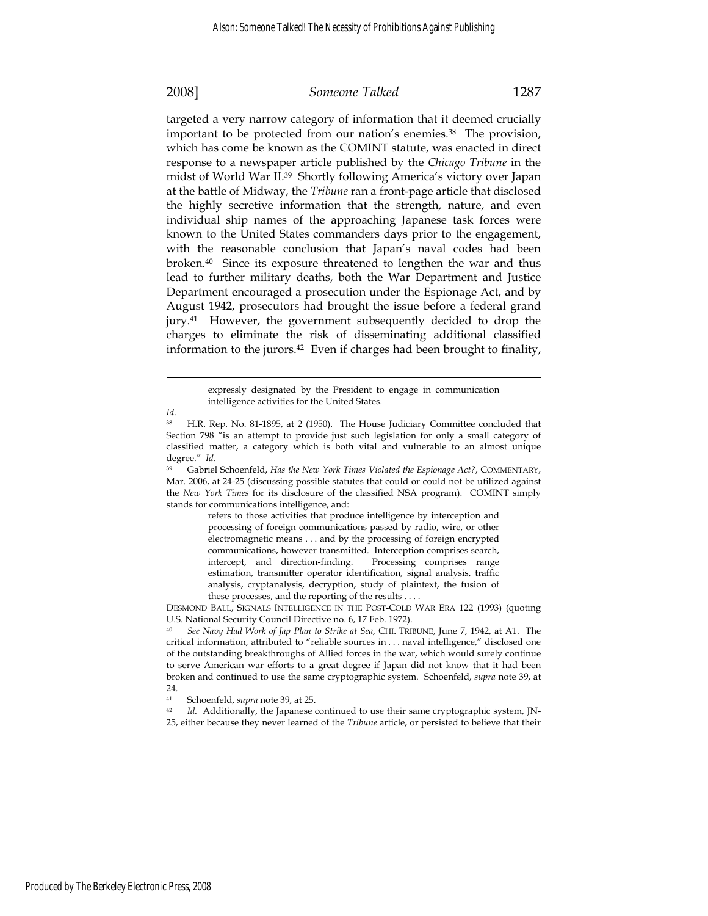*Id.* 

### 2008] *Someone Talked* 1287

targeted a very narrow category of information that it deemed crucially important to be protected from our nation's enemies.<sup>38</sup> The provision, which has come be known as the COMINT statute, was enacted in direct response to a newspaper article published by the *Chicago Tribune* in the midst of World War II.39 Shortly following America's victory over Japan at the battle of Midway, the *Tribune* ran a front-page article that disclosed the highly secretive information that the strength, nature, and even individual ship names of the approaching Japanese task forces were known to the United States commanders days prior to the engagement, with the reasonable conclusion that Japan's naval codes had been broken.40 Since its exposure threatened to lengthen the war and thus lead to further military deaths, both the War Department and Justice Department encouraged a prosecution under the Espionage Act, and by August 1942, prosecutors had brought the issue before a federal grand jury.41 However, the government subsequently decided to drop the charges to eliminate the risk of disseminating additional classified information to the jurors.42 Even if charges had been brought to finality,

refers to those activities that produce intelligence by interception and processing of foreign communications passed by radio, wire, or other electromagnetic means . . . and by the processing of foreign encrypted communications, however transmitted. Interception comprises search, intercept, and direction-finding. Processing comprises range estimation, transmitter operator identification, signal analysis, traffic analysis, cryptanalysis, decryption, study of plaintext, the fusion of these processes, and the reporting of the results . . . .

41 Schoenfeld, *supra* note 39, at 25.

<sup>42</sup> Id. Additionally, the Japanese continued to use their same cryptographic system, JN-25, either because they never learned of the *Tribune* article, or persisted to believe that their

expressly designated by the President to engage in communication intelligence activities for the United States.

<sup>38</sup> H.R. Rep. No. 81-1895, at 2 (1950). The House Judiciary Committee concluded that Section 798 "is an attempt to provide just such legislation for only a small category of classified matter, a category which is both vital and vulnerable to an almost unique degree." *Id.* 

<sup>39</sup> Gabriel Schoenfeld, *Has the New York Times Violated the Espionage Act?*, COMMENTARY, Mar. 2006, at 24-25 (discussing possible statutes that could or could not be utilized against the *New York Times* for its disclosure of the classified NSA program). COMINT simply stands for communications intelligence, and:

DESMOND BALL, SIGNALS INTELLIGENCE IN THE POST-COLD WAR ERA 122 (1993) (quoting U.S. National Security Council Directive no. 6, 17 Feb. 1972).

<sup>40</sup> *See Navy Had Work of Jap Plan to Strike at Sea*, CHI. TRIBUNE, June 7, 1942, at A1. The critical information, attributed to "reliable sources in . . . naval intelligence," disclosed one of the outstanding breakthroughs of Allied forces in the war, which would surely continue to serve American war efforts to a great degree if Japan did not know that it had been broken and continued to use the same cryptographic system. Schoenfeld, *supra* note 39, at 24.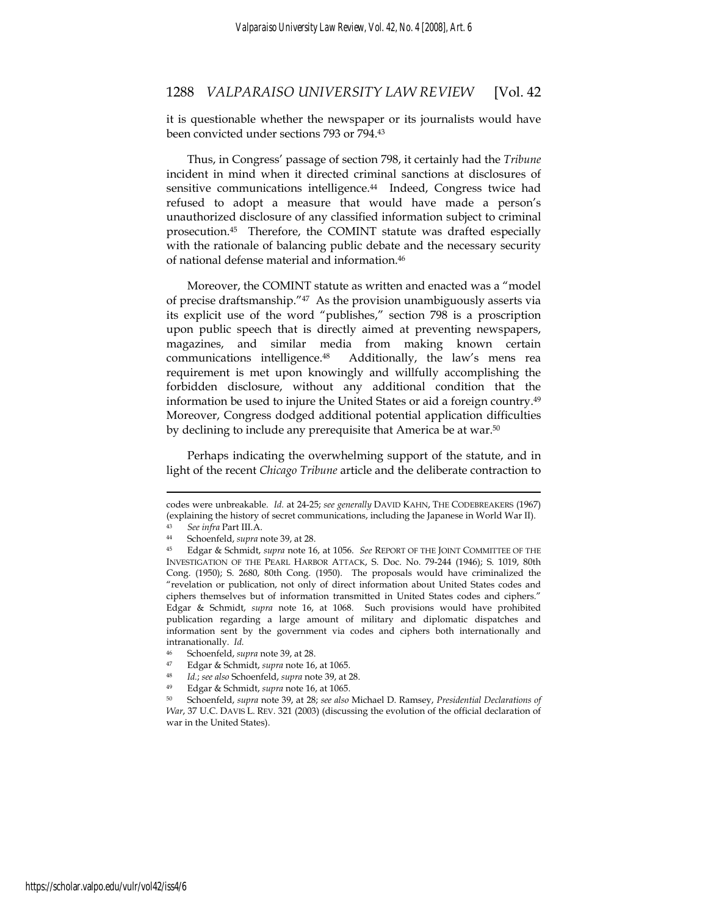it is questionable whether the newspaper or its journalists would have been convicted under sections 793 or 794.43

Thus, in Congress' passage of section 798, it certainly had the *Tribune* incident in mind when it directed criminal sanctions at disclosures of sensitive communications intelligence.<sup>44</sup> Indeed, Congress twice had refused to adopt a measure that would have made a person's unauthorized disclosure of any classified information subject to criminal prosecution.45 Therefore, the COMINT statute was drafted especially with the rationale of balancing public debate and the necessary security of national defense material and information.46

Moreover, the COMINT statute as written and enacted was a "model of precise draftsmanship."47 As the provision unambiguously asserts via its explicit use of the word "publishes," section 798 is a proscription upon public speech that is directly aimed at preventing newspapers, magazines, and similar media from making known certain communications intelligence.48 Additionally, the law's mens rea requirement is met upon knowingly and willfully accomplishing the forbidden disclosure, without any additional condition that the information be used to injure the United States or aid a foreign country.49 Moreover, Congress dodged additional potential application difficulties by declining to include any prerequisite that America be at war.<sup>50</sup>

Perhaps indicating the overwhelming support of the statute, and in light of the recent *Chicago Tribune* article and the deliberate contraction to

 $\overline{a}$ 

47 Edgar & Schmidt, *supra* note 16, at 1065.

codes were unbreakable. *Id.* at 24-25; *see generally* DAVID KAHN, THE CODEBREAKERS (1967) (explaining the history of secret communications, including the Japanese in World War II).

<sup>43</sup> *See infra* Part III.A. 44 Schoenfeld, *supra* note 39, at 28.

<sup>45</sup> Edgar & Schmidt, *supra* note 16, at 1056. *See* REPORT OF THE JOINT COMMITTEE OF THE INVESTIGATION OF THE PEARL HARBOR ATTACK, S. Doc. No. 79-244 (1946); S. 1019, 80th Cong. (1950); S. 2680, 80th Cong. (1950). The proposals would have criminalized the "revelation or publication, not only of direct information about United States codes and ciphers themselves but of information transmitted in United States codes and ciphers." Edgar & Schmidt, *supra* note 16, at 1068. Such provisions would have prohibited publication regarding a large amount of military and diplomatic dispatches and information sent by the government via codes and ciphers both internationally and intranationally. *Id.* 

<sup>46</sup> Schoenfeld, *supra* note 39, at 28.

<sup>48</sup> *Id.*; *see also* Schoenfeld, *supra* note 39, at 28. 49 Edgar & Schmidt, *supra* note 16, at 1065.

<sup>50</sup> Schoenfeld, *supra* note 39, at 28; *see also* Michael D. Ramsey, *Presidential Declarations of War*, 37 U.C. DAVIS L. REV. 321 (2003) (discussing the evolution of the official declaration of war in the United States).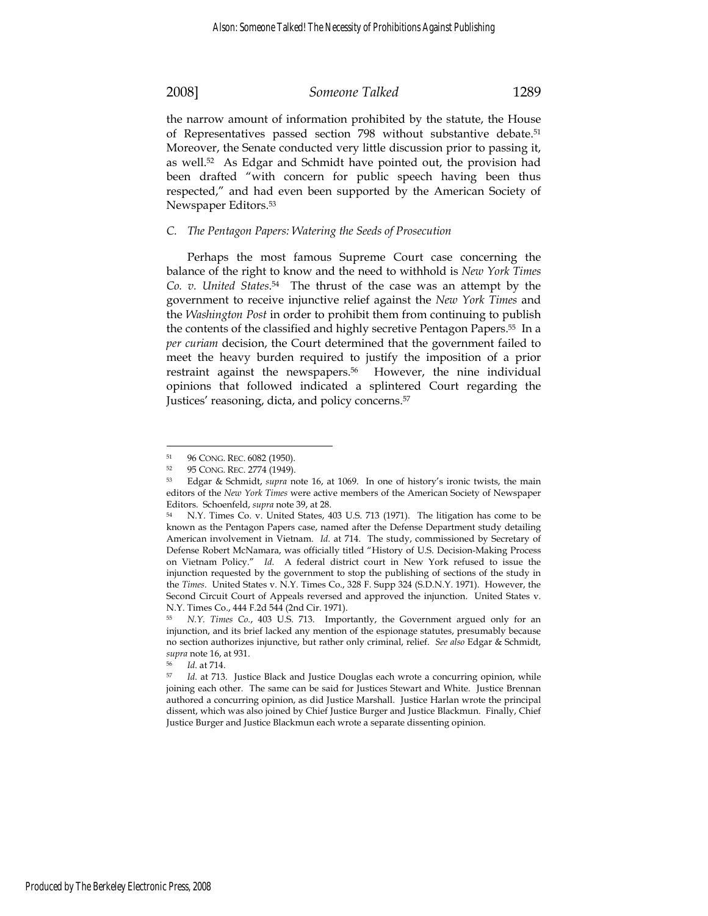the narrow amount of information prohibited by the statute, the House of Representatives passed section 798 without substantive debate.<sup>51</sup> Moreover, the Senate conducted very little discussion prior to passing it, as well.52 As Edgar and Schmidt have pointed out, the provision had been drafted "with concern for public speech having been thus respected," and had even been supported by the American Society of Newspaper Editors.53

#### *C. The Pentagon Papers: Watering the Seeds of Prosecution*

Perhaps the most famous Supreme Court case concerning the balance of the right to know and the need to withhold is *New York Times Co. v. United States*. 54 The thrust of the case was an attempt by the government to receive injunctive relief against the *New York Times* and the *Washington Post* in order to prohibit them from continuing to publish the contents of the classified and highly secretive Pentagon Papers.55 In a *per curiam* decision, the Court determined that the government failed to meet the heavy burden required to justify the imposition of a prior restraint against the newspapers.56 However, the nine individual opinions that followed indicated a splintered Court regarding the Justices' reasoning, dicta, and policy concerns.<sup>57</sup>

<sup>51 96</sup> CONG. REC. 6082 (1950).

<sup>52 95</sup> CONG. REC. 2774 (1949).

<sup>53</sup> Edgar & Schmidt, *supra* note 16, at 1069. In one of history's ironic twists, the main editors of the *New York Times* were active members of the American Society of Newspaper Editors. Schoenfeld, *supra* note 39, at 28.

<sup>54</sup> N.Y. Times Co. v. United States, 403 U.S. 713 (1971). The litigation has come to be known as the Pentagon Papers case, named after the Defense Department study detailing American involvement in Vietnam. *Id.* at 714. The study, commissioned by Secretary of Defense Robert McNamara, was officially titled "History of U.S. Decision-Making Process on Vietnam Policy." *Id*. A federal district court in New York refused to issue the injunction requested by the government to stop the publishing of sections of the study in the *Times*. United States v. N.Y. Times Co., 328 F. Supp 324 (S.D.N.Y. 1971). However, the Second Circuit Court of Appeals reversed and approved the injunction. United States v. N.Y. Times Co., 444 F.2d 544 (2nd Cir. 1971).

<sup>55</sup> *N.Y. Times Co.*, 403 U.S. 713. Importantly, the Government argued only for an injunction, and its brief lacked any mention of the espionage statutes, presumably because no section authorizes injunctive, but rather only criminal, relief. *See also* Edgar & Schmidt, *supra* note 16, at 931.

<sup>56</sup> *Id*. at 714.

Id. at 713. Justice Black and Justice Douglas each wrote a concurring opinion, while joining each other. The same can be said for Justices Stewart and White. Justice Brennan authored a concurring opinion, as did Justice Marshall. Justice Harlan wrote the principal dissent, which was also joined by Chief Justice Burger and Justice Blackmun. Finally, Chief Justice Burger and Justice Blackmun each wrote a separate dissenting opinion.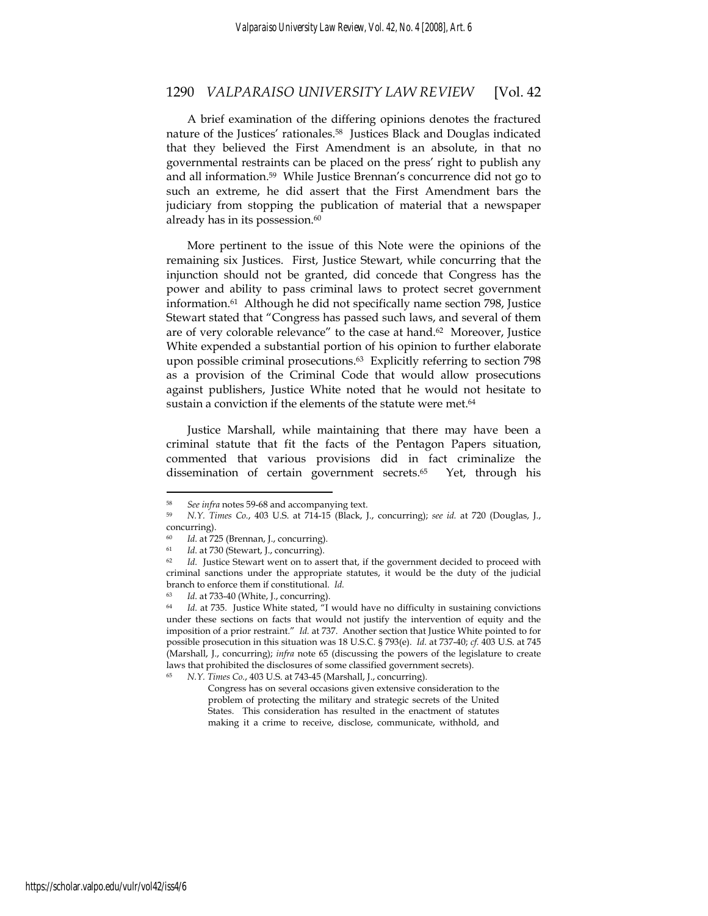A brief examination of the differing opinions denotes the fractured nature of the Justices' rationales.58 Justices Black and Douglas indicated that they believed the First Amendment is an absolute, in that no governmental restraints can be placed on the press' right to publish any and all information.59 While Justice Brennan's concurrence did not go to such an extreme, he did assert that the First Amendment bars the judiciary from stopping the publication of material that a newspaper already has in its possession.<sup>60</sup>

More pertinent to the issue of this Note were the opinions of the remaining six Justices. First, Justice Stewart, while concurring that the injunction should not be granted, did concede that Congress has the power and ability to pass criminal laws to protect secret government information.61 Although he did not specifically name section 798, Justice Stewart stated that "Congress has passed such laws, and several of them are of very colorable relevance" to the case at hand. $62$  Moreover, Justice White expended a substantial portion of his opinion to further elaborate upon possible criminal prosecutions.<sup>63</sup> Explicitly referring to section 798 as a provision of the Criminal Code that would allow prosecutions against publishers, Justice White noted that he would not hesitate to sustain a conviction if the elements of the statute were met.<sup>64</sup>

Justice Marshall, while maintaining that there may have been a criminal statute that fit the facts of the Pentagon Papers situation, commented that various provisions did in fact criminalize the dissemination of certain government secrets.<sup>65</sup> Yet, through his

<sup>58</sup> *See infra* notes 59-68 and accompanying text. 59 *N.Y. Times Co.*, 403 U.S. at 714-15 (Black, J., concurring); *see id.* at 720 (Douglas, J., concurring).

Id. at 725 (Brennan, J., concurring).

<sup>61</sup> *Id*. at 730 (Stewart, J., concurring).

<sup>62</sup> *Id*. Justice Stewart went on to assert that, if the government decided to proceed with criminal sanctions under the appropriate statutes, it would be the duty of the judicial branch to enforce them if constitutional. *Id.* 

*Id.* at 733-40 (White, J., concurring).<br>*Id.* at 735. Justice White stated, "I would have no difficulty in sustaining convictions under these sections on facts that would not justify the intervention of equity and the imposition of a prior restraint." *Id.* at 737. Another section that Justice White pointed to for possible prosecution in this situation was 18 U.S.C. § 793(e). *Id.* at 737-40; *cf.* 403 U.S. at 745 (Marshall, J., concurring); *infra* note 65 (discussing the powers of the legislature to create laws that prohibited the disclosures of some classified government secrets).

<sup>65</sup> *N.Y. Times Co.*, 403 U.S. at 743-45 (Marshall, J., concurring).

Congress has on several occasions given extensive consideration to the problem of protecting the military and strategic secrets of the United States. This consideration has resulted in the enactment of statutes making it a crime to receive, disclose, communicate, withhold, and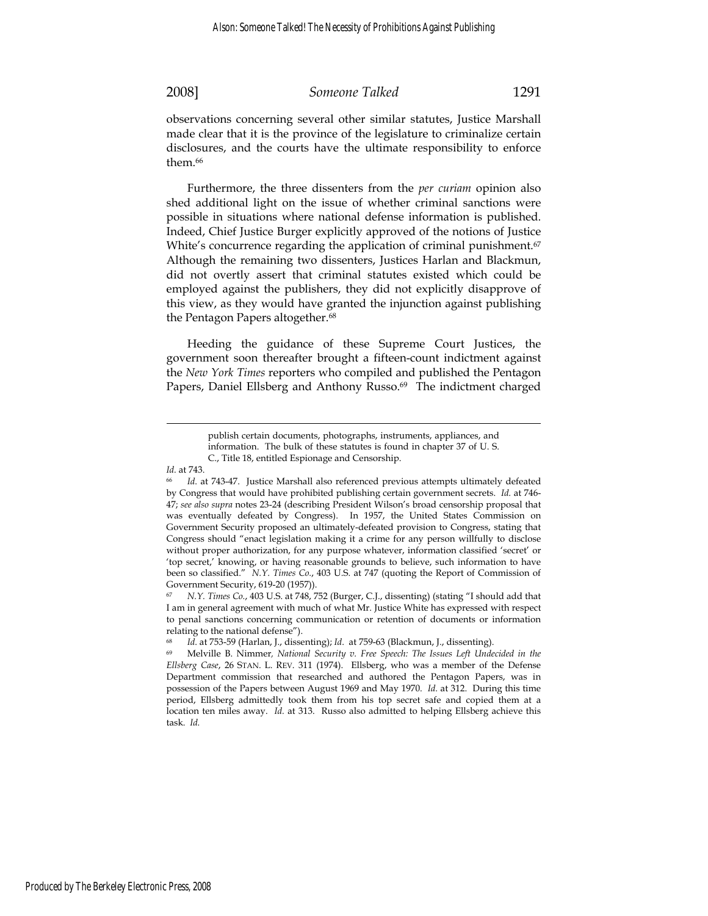observations concerning several other similar statutes, Justice Marshall made clear that it is the province of the legislature to criminalize certain disclosures, and the courts have the ultimate responsibility to enforce them.<sup>66</sup>

Furthermore, the three dissenters from the *per curiam* opinion also shed additional light on the issue of whether criminal sanctions were possible in situations where national defense information is published. Indeed, Chief Justice Burger explicitly approved of the notions of Justice White's concurrence regarding the application of criminal punishment.<sup>67</sup> Although the remaining two dissenters, Justices Harlan and Blackmun, did not overtly assert that criminal statutes existed which could be employed against the publishers, they did not explicitly disapprove of this view, as they would have granted the injunction against publishing the Pentagon Papers altogether.<sup>68</sup>

Heeding the guidance of these Supreme Court Justices, the government soon thereafter brought a fifteen-count indictment against the *New York Times* reporters who compiled and published the Pentagon Papers, Daniel Ellsberg and Anthony Russo.<sup>69</sup> The indictment charged

*Id.* at 743.

publish certain documents, photographs, instruments, appliances, and information. The bulk of these statutes is found in chapter 37 of U. S. C., Title 18, entitled Espionage and Censorship.

<sup>66</sup> *Id*. at 743-47. Justice Marshall also referenced previous attempts ultimately defeated by Congress that would have prohibited publishing certain government secrets. *Id.* at 746- 47; *see also supra* notes 23-24 (describing President Wilson's broad censorship proposal that was eventually defeated by Congress). In 1957, the United States Commission on Government Security proposed an ultimately-defeated provision to Congress, stating that Congress should "enact legislation making it a crime for any person willfully to disclose without proper authorization, for any purpose whatever, information classified 'secret' or 'top secret,' knowing, or having reasonable grounds to believe, such information to have been so classified." *N.Y. Times Co.*, 403 U.S. at 747 (quoting the Report of Commission of Government Security, 619-20 (1957)).

<sup>67</sup> *N.Y. Times Co.*, 403 U.S. at 748, 752 (Burger, C.J., dissenting) (stating "I should add that I am in general agreement with much of what Mr. Justice White has expressed with respect to penal sanctions concerning communication or retention of documents or information relating to the national defense").

*Id.* at 753-59 (Harlan, J., dissenting); *Id.* at 759-63 (Blackmun, J., dissenting). Melville B. Nimmer, National Security v. Free Speech: The Issues Left Undecided in the *Ellsberg Case*, 26 STAN. L. REV. 311 (1974). Ellsberg, who was a member of the Defense Department commission that researched and authored the Pentagon Papers, was in possession of the Papers between August 1969 and May 1970. *Id.* at 312. During this time period, Ellsberg admittedly took them from his top secret safe and copied them at a location ten miles away. *Id.* at 313. Russo also admitted to helping Ellsberg achieve this task. *Id.*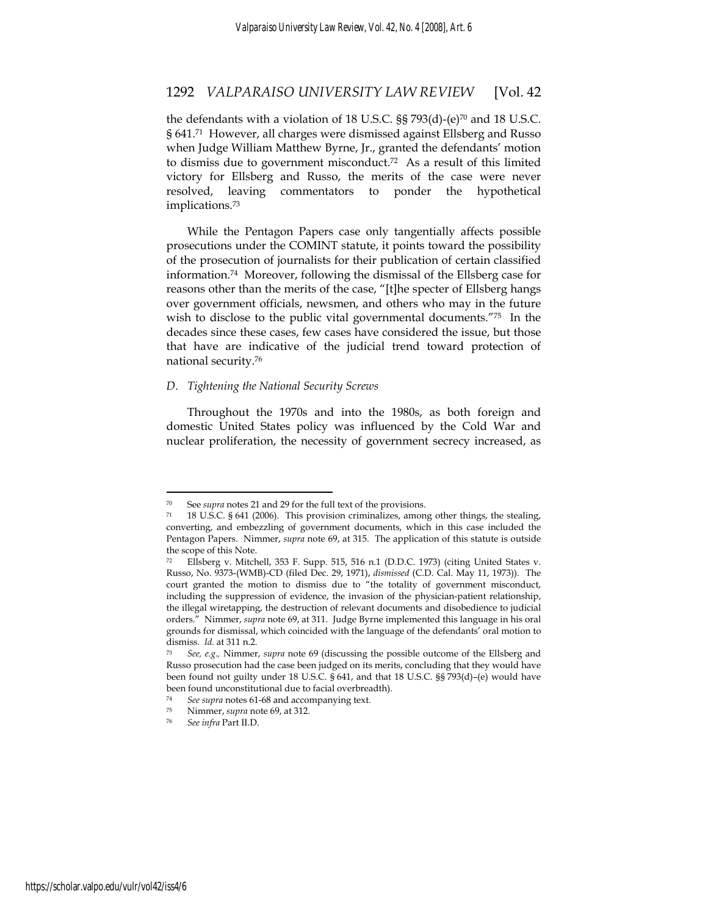the defendants with a violation of 18 U.S.C.  $\S$ § 793(d)-(e)<sup>70</sup> and 18 U.S.C. § 641.71 However, all charges were dismissed against Ellsberg and Russo when Judge William Matthew Byrne, Jr., granted the defendants' motion to dismiss due to government misconduct.72 As a result of this limited victory for Ellsberg and Russo, the merits of the case were never resolved, leaving commentators to ponder the hypothetical implications.73

While the Pentagon Papers case only tangentially affects possible prosecutions under the COMINT statute, it points toward the possibility of the prosecution of journalists for their publication of certain classified information.74 Moreover, following the dismissal of the Ellsberg case for reasons other than the merits of the case, "[t]he specter of Ellsberg hangs over government officials, newsmen, and others who may in the future wish to disclose to the public vital governmental documents."75 In the decades since these cases, few cases have considered the issue, but those that have are indicative of the judicial trend toward protection of national security.76

#### *D. Tightening the National Security Screws*

Throughout the 1970s and into the 1980s, as both foreign and domestic United States policy was influenced by the Cold War and nuclear proliferation, the necessity of government secrecy increased, as

<sup>70</sup> See *supra* notes 21 and 29 for the full text of the provisions.

 $71$  18 U.S.C. § 641 (2006). This provision criminalizes, among other things, the stealing, converting, and embezzling of government documents, which in this case included the Pentagon Papers. Nimmer, *supra* note 69, at 315. The application of this statute is outside the scope of this Note.

<sup>72</sup> Ellsberg v. Mitchell, 353 F. Supp. 515, 516 n.1 (D.D.C. 1973) (citing United States v. Russo, No. 9373-(WMB)-CD (filed Dec. 29, 1971), *dismissed* (C.D. Cal. May 11, 1973)). The court granted the motion to dismiss due to "the totality of government misconduct, including the suppression of evidence, the invasion of the physician-patient relationship, the illegal wiretapping, the destruction of relevant documents and disobedience to judicial orders." Nimmer, *supra* note 69, at 311. Judge Byrne implemented this language in his oral grounds for dismissal, which coincided with the language of the defendants' oral motion to dismiss. *Id.* at 311 n.2.

<sup>73</sup> *See, e.g.,* Nimmer, *supra* note 69 (discussing the possible outcome of the Ellsberg and Russo prosecution had the case been judged on its merits, concluding that they would have been found not guilty under 18 U.S.C. § 641, and that 18 U.S.C. §§ 793(d)–(e) would have been found unconstitutional due to facial overbreadth).

See supra notes 61-68 and accompanying text.

<sup>75</sup> Nimmer, *supra* note 69, at 312. 76 *See infra* Part II.D.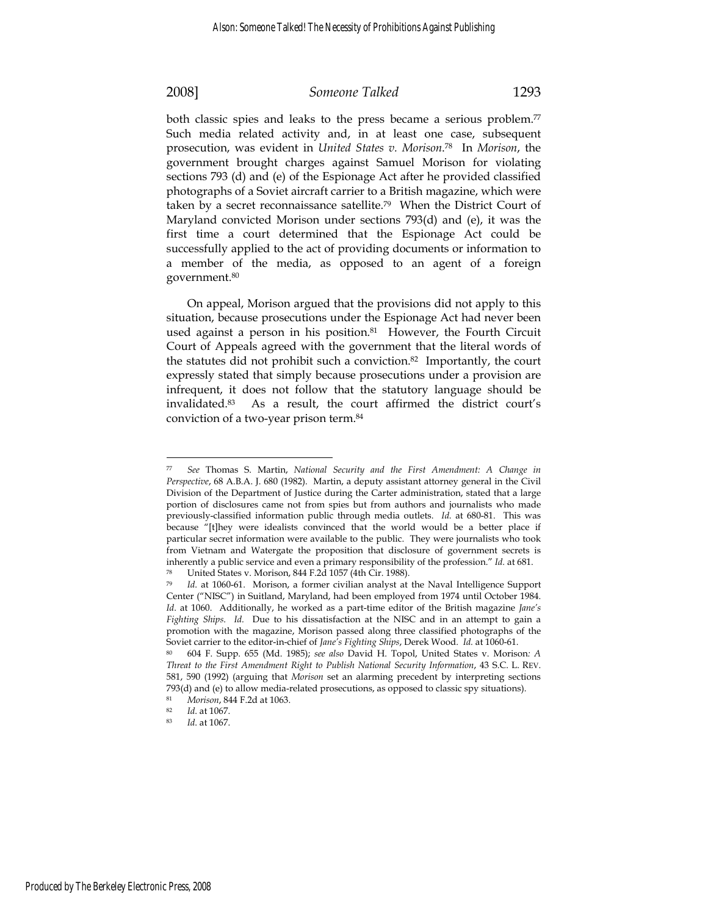both classic spies and leaks to the press became a serious problem.<sup>77</sup> Such media related activity and, in at least one case, subsequent prosecution, was evident in *United States v. Morison*.78 In *Morison*, the government brought charges against Samuel Morison for violating sections 793 (d) and (e) of the Espionage Act after he provided classified photographs of a Soviet aircraft carrier to a British magazine, which were taken by a secret reconnaissance satellite.<sup>79</sup> When the District Court of Maryland convicted Morison under sections 793(d) and (e), it was the first time a court determined that the Espionage Act could be successfully applied to the act of providing documents or information to a member of the media, as opposed to an agent of a foreign government.80

On appeal, Morison argued that the provisions did not apply to this situation, because prosecutions under the Espionage Act had never been used against a person in his position. $81$  However, the Fourth Circuit Court of Appeals agreed with the government that the literal words of the statutes did not prohibit such a conviction.82 Importantly, the court expressly stated that simply because prosecutions under a provision are infrequent, it does not follow that the statutory language should be invalidated.83 As a result, the court affirmed the district court's conviction of a two-year prison term.84

<sup>77</sup> *See* Thomas S. Martin, *National Security and the First Amendment: A Change in Perspective*, 68 A.B.A. J. 680 (1982). Martin, a deputy assistant attorney general in the Civil Division of the Department of Justice during the Carter administration, stated that a large portion of disclosures came not from spies but from authors and journalists who made previously-classified information public through media outlets. *Id.* at 680-81. This was because "[t]hey were idealists convinced that the world would be a better place if particular secret information were available to the public. They were journalists who took from Vietnam and Watergate the proposition that disclosure of government secrets is inherently a public service and even a primary responsibility of the profession." *Id.* at 681.<br><sup>78</sup> United States v. Morison, 844 F.2d 1057 (4th Cir. 1988).<br><sup>79</sup> U<sub>n</sub> at 1060 61. Morison a former civilian applyed at the N

Id. at 1060-61. Morison, a former civilian analyst at the Naval Intelligence Support Center ("NISC") in Suitland, Maryland, had been employed from 1974 until October 1984. *Id*. at 1060. Additionally, he worked as a part-time editor of the British magazine *Jane's Fighting Ships*. *Id.* Due to his dissatisfaction at the NISC and in an attempt to gain a promotion with the magazine, Morison passed along three classified photographs of the Soviet carrier to the editor-in-chief of *Jane's Fighting Ships*, Derek Wood. *Id.* at 1060-61.

<sup>80 604</sup> F. Supp. 655 (Md. 1985); *see also* David H. Topol, United States v. Morison*: A Threat to the First Amendment Right to Publish National Security Information*, 43 S.C. L. REV. 581, 590 (1992) (arguing that *Morison* set an alarming precedent by interpreting sections 793(d) and (e) to allow media-related prosecutions, as opposed to classic spy situations). <sup>81</sup> *Morison*, 844 F.2d at 1063.

<sup>82</sup> *Id*. at 1067. 83 *Id*. at 1067.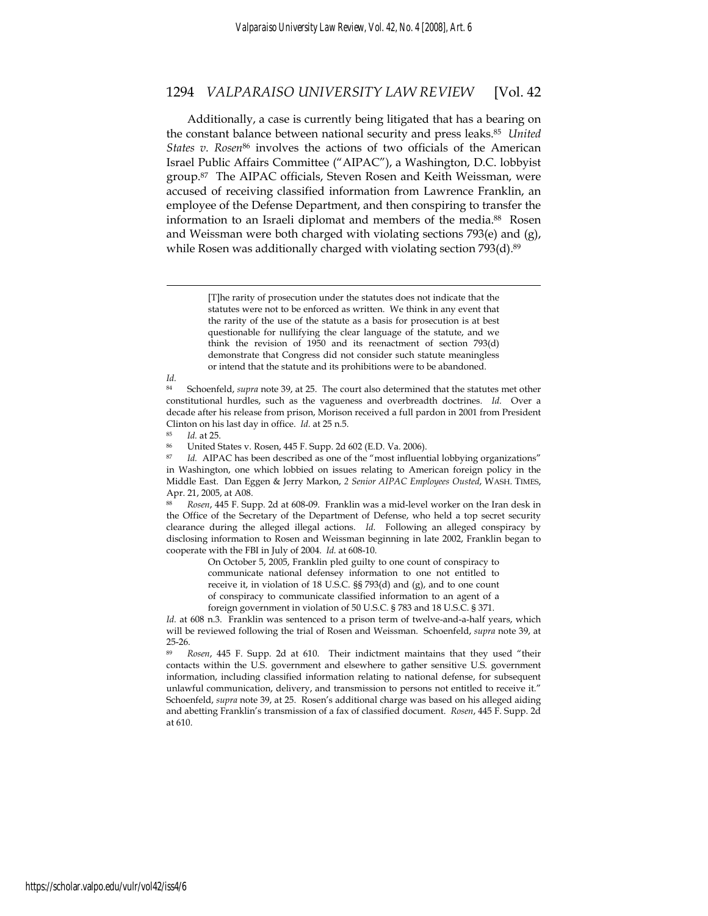Additionally, a case is currently being litigated that has a bearing on the constant balance between national security and press leaks.85 *United States v. Rosen*86 involves the actions of two officials of the American Israel Public Affairs Committee ("AIPAC"), a Washington, D.C. lobbyist group.87 The AIPAC officials, Steven Rosen and Keith Weissman, were accused of receiving classified information from Lawrence Franklin, an employee of the Defense Department, and then conspiring to transfer the information to an Israeli diplomat and members of the media.<sup>88</sup> Rosen and Weissman were both charged with violating sections 793(e) and (g), while Rosen was additionally charged with violating section 793(d).<sup>89</sup>

#### *Id.*

 $\overline{a}$ 

84 Schoenfeld, *supra* note 39, at 25. The court also determined that the statutes met other constitutional hurdles, such as the vagueness and overbreadth doctrines. *Id.* Over a decade after his release from prison, Morison received a full pardon in 2001 from President Clinton on his last day in office. *Id.* at 25 n.5.

<sup>85</sup> *Id.* at 25.

<sup>88</sup> *Rosen*, 445 F. Supp. 2d at 608-09. Franklin was a mid-level worker on the Iran desk in the Office of the Secretary of the Department of Defense, who held a top secret security clearance during the alleged illegal actions. *Id*. Following an alleged conspiracy by disclosing information to Rosen and Weissman beginning in late 2002, Franklin began to cooperate with the FBI in July of 2004. *Id.* at 608-10.

> On October 5, 2005, Franklin pled guilty to one count of conspiracy to communicate national defensey information to one not entitled to receive it, in violation of 18 U.S.C. §§ 793(d) and (g), and to one count of conspiracy to communicate classified information to an agent of a foreign government in violation of 50 U.S.C. § 783 and 18 U.S.C. § 371.

*Id.* at 608 n.3. Franklin was sentenced to a prison term of twelve-and-a-half years, which will be reviewed following the trial of Rosen and Weissman. Schoenfeld, *supra* note 39, at 25-26.

Rosen, 445 F. Supp. 2d at 610. Their indictment maintains that they used "their contacts within the U.S. government and elsewhere to gather sensitive U.S. government information, including classified information relating to national defense, for subsequent unlawful communication, delivery, and transmission to persons not entitled to receive it." Schoenfeld, *supra* note 39, at 25. Rosen's additional charge was based on his alleged aiding and abetting Franklin's transmission of a fax of classified document. *Rosen*, 445 F. Supp. 2d at 610.

<sup>[</sup>T]he rarity of prosecution under the statutes does not indicate that the statutes were not to be enforced as written. We think in any event that the rarity of the use of the statute as a basis for prosecution is at best questionable for nullifying the clear language of the statute, and we think the revision of 1950 and its reenactment of section 793(d) demonstrate that Congress did not consider such statute meaningless or intend that the statute and its prohibitions were to be abandoned.

<sup>86</sup> United States v. Rosen, 445 F. Supp. 2d 602 (E.D. Va. 2006).

<sup>87</sup> *Id.* AIPAC has been described as one of the "most influential lobbying organizations" in Washington, one which lobbied on issues relating to American foreign policy in the Middle East. Dan Eggen & Jerry Markon, *2 Senior AIPAC Employees Ousted*, WASH. TIMES, Apr. 21, 2005, at A08.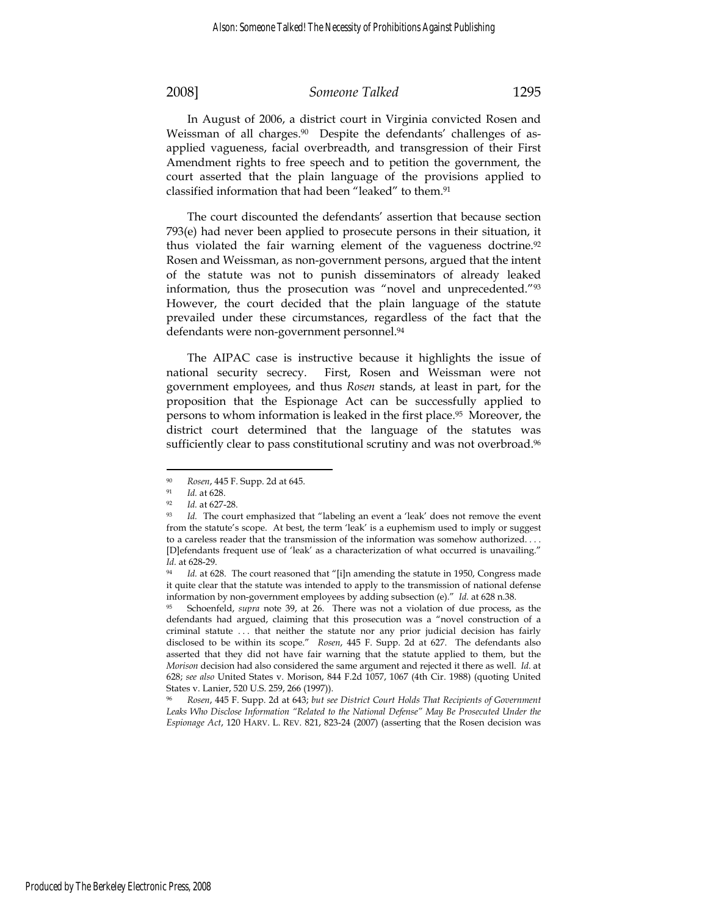In August of 2006, a district court in Virginia convicted Rosen and Weissman of all charges.<sup>90</sup> Despite the defendants' challenges of asapplied vagueness, facial overbreadth, and transgression of their First Amendment rights to free speech and to petition the government, the court asserted that the plain language of the provisions applied to classified information that had been "leaked" to them.91

The court discounted the defendants' assertion that because section 793(e) had never been applied to prosecute persons in their situation, it thus violated the fair warning element of the vagueness doctrine.<sup>92</sup> Rosen and Weissman, as non-government persons, argued that the intent of the statute was not to punish disseminators of already leaked information, thus the prosecution was "novel and unprecedented."93 However, the court decided that the plain language of the statute prevailed under these circumstances, regardless of the fact that the defendants were non-government personnel.94

The AIPAC case is instructive because it highlights the issue of national security secrecy. First, Rosen and Weissman were not government employees, and thus *Rosen* stands, at least in part, for the proposition that the Espionage Act can be successfully applied to persons to whom information is leaked in the first place.95 Moreover, the district court determined that the language of the statutes was sufficiently clear to pass constitutional scrutiny and was not overbroad.<sup>96</sup>

<sup>90</sup> *Rosen*, 445 F. Supp. 2d at 645. 91 *Id.* at 628.

<sup>92</sup> *Id.* at 627-28.

<sup>93</sup> *Id.* The court emphasized that "labeling an event a 'leak' does not remove the event from the statute's scope. At best, the term 'leak' is a euphemism used to imply or suggest to a careless reader that the transmission of the information was somehow authorized. . . . [D]efendants frequent use of 'leak' as a characterization of what occurred is unavailing." *Id.* at 628-29.<br><sup>94</sup> *Id.* at 628. The court reasoned that "[i]n amending the statute in 1950, Congress made

it quite clear that the statute was intended to apply to the transmission of national defense information by non-government employees by adding subsection (e)." *Id.* at 628 n.38.

Schoenfeld, *supra* note 39, at 26. There was not a violation of due process, as the defendants had argued, claiming that this prosecution was a "novel construction of a criminal statute . . . that neither the statute nor any prior judicial decision has fairly disclosed to be within its scope." *Rosen*, 445 F. Supp. 2d at 627. The defendants also asserted that they did not have fair warning that the statute applied to them, but the *Morison* decision had also considered the same argument and rejected it there as well. *Id*. at 628; *see also* United States v. Morison, 844 F.2d 1057, 1067 (4th Cir. 1988) (quoting United States v. Lanier, 520 U.S. 259, 266 (1997)).

<sup>96</sup> *Rosen*, 445 F. Supp. 2d at 643; *but see District Court Holds That Recipients of Government*  Leaks Who Disclose Information "Related to the National Defense" May Be Prosecuted Under the *Espionage Act*, 120 HARV. L. REV. 821, 823-24 (2007) (asserting that the Rosen decision was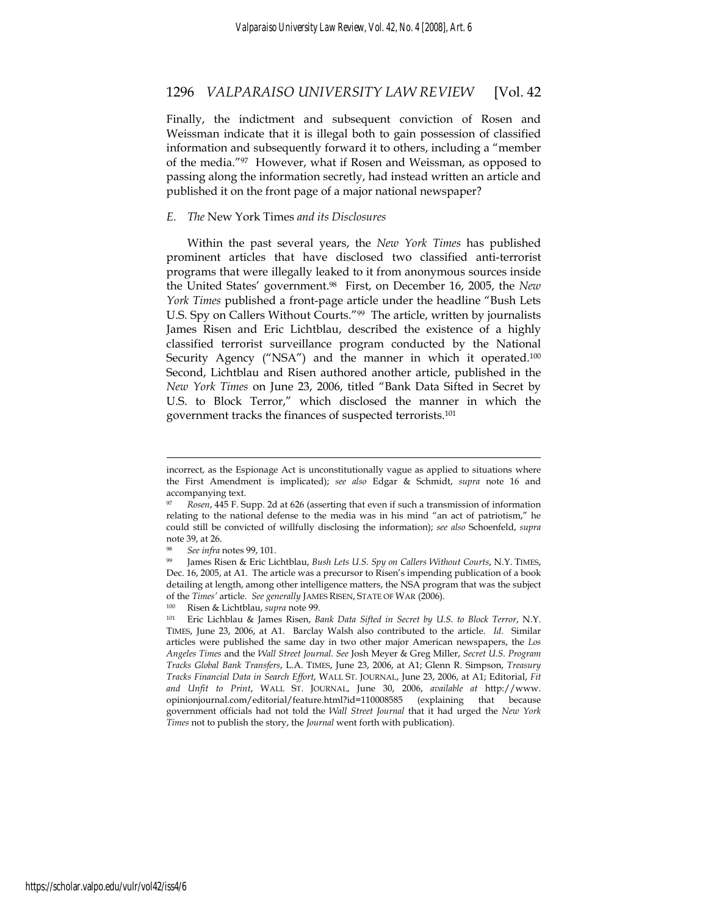Finally, the indictment and subsequent conviction of Rosen and Weissman indicate that it is illegal both to gain possession of classified information and subsequently forward it to others, including a "member of the media."97 However, what if Rosen and Weissman, as opposed to passing along the information secretly, had instead written an article and published it on the front page of a major national newspaper?

#### *E. The* New York Times *and its Disclosures*

Within the past several years, the *New York Times* has published prominent articles that have disclosed two classified anti-terrorist programs that were illegally leaked to it from anonymous sources inside the United States' government.98 First, on December 16, 2005, the *New York Times* published a front-page article under the headline "Bush Lets U.S. Spy on Callers Without Courts."<sup>99</sup> The article, written by journalists James Risen and Eric Lichtblau, described the existence of a highly classified terrorist surveillance program conducted by the National Security Agency ("NSA") and the manner in which it operated.<sup>100</sup> Second, Lichtblau and Risen authored another article, published in the *New York Times* on June 23, 2006, titled "Bank Data Sifted in Secret by U.S. to Block Terror," which disclosed the manner in which the government tracks the finances of suspected terrorists.101

incorrect, as the Espionage Act is unconstitutionally vague as applied to situations where the First Amendment is implicated); *see also* Edgar & Schmidt, *supra* note 16 and accompanying text.

<sup>97</sup> *Rosen*, 445 F. Supp. 2d at 626 (asserting that even if such a transmission of information relating to the national defense to the media was in his mind "an act of patriotism," he could still be convicted of willfully disclosing the information); *see also* Schoenfeld, *supra* note 39, at 26.

<sup>98</sup> *See infra* notes 99, 101.

<sup>99</sup> James Risen & Eric Lichtblau, *Bush Lets U.S. Spy on Callers Without Courts*, N.Y. TIMES, Dec. 16, 2005, at A1. The article was a precursor to Risen's impending publication of a book detailing at length, among other intelligence matters, the NSA program that was the subject of the *Times'* article. *See generally* JAMES RISEN, STATE OF WAR (2006). 100 Risen & Lichtblau, *supra* note 99.

<sup>101</sup> Eric Lichblau & James Risen, *Bank Data Sifted in Secret by U.S. to Block Terror*, N.Y. TIMES, June 23, 2006, at A1. Barclay Walsh also contributed to the article. *Id.* Similar articles were published the same day in two other major American newspapers, the *Los Angeles Times* and the *Wall Street Journal*. *See* Josh Meyer & Greg Miller, *Secret U.S. Program Tracks Global Bank Transfers*, L.A. TIMES, June 23, 2006, at A1; Glenn R. Simpson, *Treasury Tracks Financial Data in Search Effort*, WALL ST. JOURNAL, June 23, 2006, at A1; Editorial, *Fit and Unfit to Print*, WALL ST. JOURNAL, June 30, 2006, *available at* http://www. opinionjournal.com/editorial/feature.html?id=110008585 government officials had not told the *Wall Street Journal* that it had urged the *New York Times* not to publish the story, the *Journal* went forth with publication).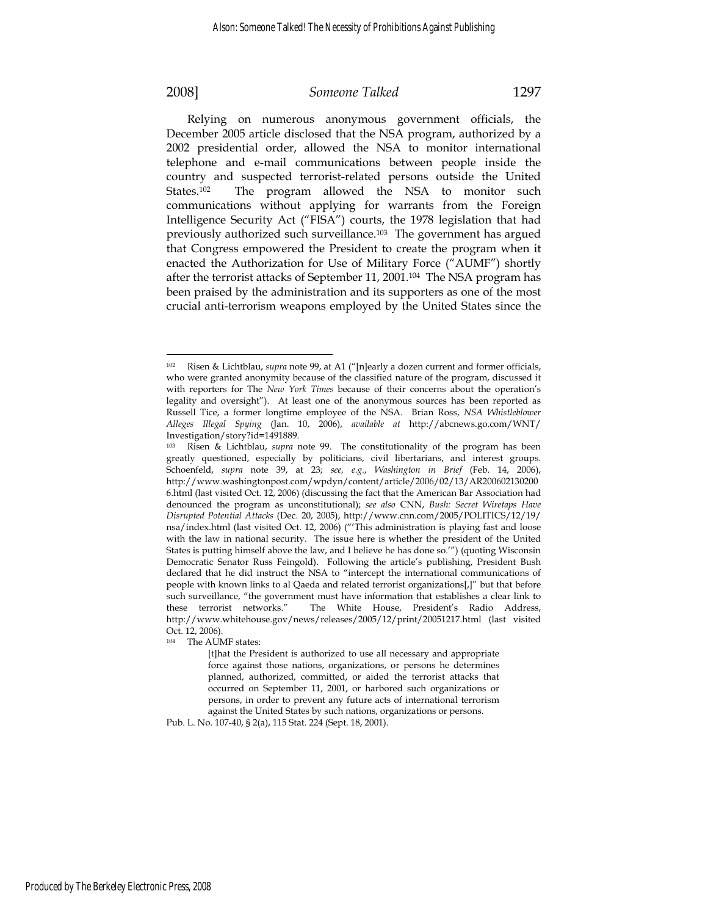### 2008] *Someone Talked* 1297

Relying on numerous anonymous government officials, the December 2005 article disclosed that the NSA program, authorized by a 2002 presidential order, allowed the NSA to monitor international telephone and e-mail communications between people inside the country and suspected terrorist-related persons outside the United States.<sup>102</sup> The program allowed the NSA to monitor such communications without applying for warrants from the Foreign Intelligence Security Act ("FISA") courts, the 1978 legislation that had previously authorized such surveillance.103 The government has argued that Congress empowered the President to create the program when it enacted the Authorization for Use of Military Force ("AUMF") shortly after the terrorist attacks of September 11, 2001.104 The NSA program has been praised by the administration and its supporters as one of the most crucial anti-terrorism weapons employed by the United States since the

Pub. L. No. 107-40, § 2(a), 115 Stat. 224 (Sept. 18, 2001).

<sup>102</sup> Risen & Lichtblau, *supra* note 99, at A1 ("[n]early a dozen current and former officials, who were granted anonymity because of the classified nature of the program, discussed it with reporters for The *New York Times* because of their concerns about the operation's legality and oversight"). At least one of the anonymous sources has been reported as Russell Tice, a former longtime employee of the NSA. Brian Ross, *NSA Whistleblower Alleges Illegal Spying* (Jan. 10, 2006), *available at* http://abcnews.go.com/WNT/ Investigation/story?id=1491889.

<sup>103</sup> Risen & Lichtblau, *supra* note 99. The constitutionality of the program has been greatly questioned, especially by politicians, civil libertarians, and interest groups. Schoenfeld, *supra* note 39, at 23; *see, e.g.*, *Washington in Brief* (Feb. 14, 2006), http://www.washingtonpost.com/wpdyn/content/article/2006/02/13/AR200602130200 6.html (last visited Oct. 12, 2006) (discussing the fact that the American Bar Association had denounced the program as unconstitutional); *see also* CNN, *Bush: Secret Wiretaps Have Disrupted Potential Attacks* (Dec. 20, 2005), http://www.cnn.com/2005/POLITICS/12/19/ nsa/index.html (last visited Oct. 12, 2006) ("'This administration is playing fast and loose with the law in national security. The issue here is whether the president of the United States is putting himself above the law, and I believe he has done so.'") (quoting Wisconsin Democratic Senator Russ Feingold). Following the article's publishing, President Bush declared that he did instruct the NSA to "intercept the international communications of people with known links to al Qaeda and related terrorist organizations[,]" but that before such surveillance, "the government must have information that establishes a clear link to these terrorist networks." The White House, President's Radio Address, http://www.whitehouse.gov/news/releases/2005/12/print/20051217.html (last visited Oct. 12, 2006).

<sup>104</sup> The AUMF states:

<sup>[</sup>t]hat the President is authorized to use all necessary and appropriate force against those nations, organizations, or persons he determines planned, authorized, committed, or aided the terrorist attacks that occurred on September 11, 2001, or harbored such organizations or persons, in order to prevent any future acts of international terrorism against the United States by such nations, organizations or persons.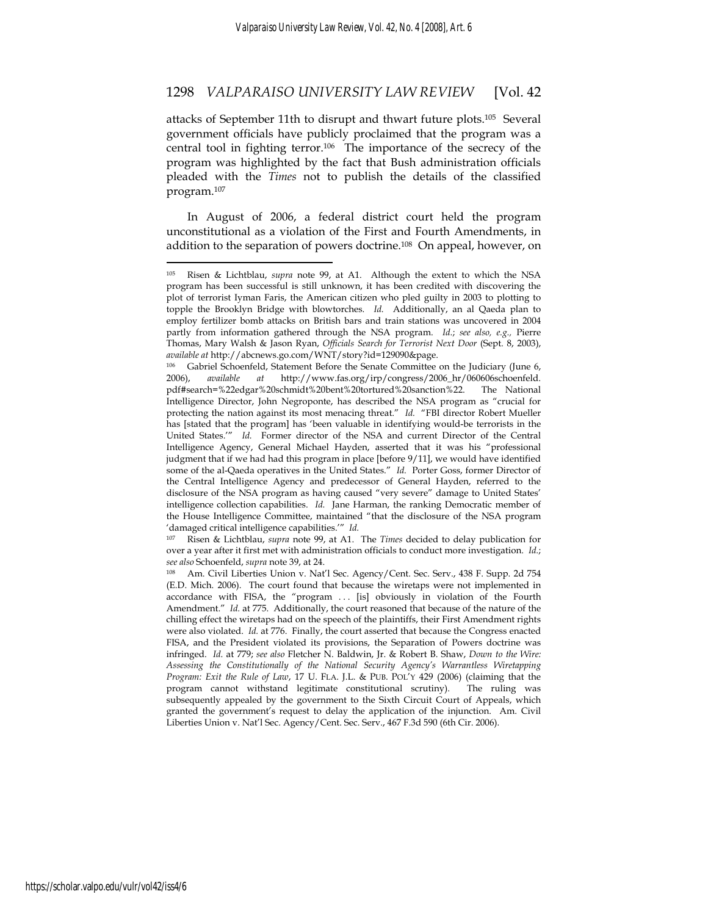attacks of September 11th to disrupt and thwart future plots.105 Several government officials have publicly proclaimed that the program was a central tool in fighting terror.106 The importance of the secrecy of the program was highlighted by the fact that Bush administration officials pleaded with the *Times* not to publish the details of the classified program.107

In August of 2006, a federal district court held the program unconstitutional as a violation of the First and Fourth Amendments, in addition to the separation of powers doctrine.108 On appeal, however, on

107 Risen & Lichtblau, *supra* note 99, at A1. The *Times* decided to delay publication for over a year after it first met with administration officials to conduct more investigation. *Id.*;

Risen & Lichtblau, *supra* note 99, at A1. Although the extent to which the NSA program has been successful is still unknown, it has been credited with discovering the plot of terrorist Iyman Faris, the American citizen who pled guilty in 2003 to plotting to topple the Brooklyn Bridge with blowtorches. *Id.* Additionally, an al Qaeda plan to employ fertilizer bomb attacks on British bars and train stations was uncovered in 2004 partly from information gathered through the NSA program. *Id.*; *see also, e.g.,* Pierre Thomas, Mary Walsh & Jason Ryan, *Officials Search for Terrorist Next Door* (Sept. 8, 2003), *available at* http://abcnews.go.com/WNT/story?id=129090&page.

Gabriel Schoenfeld, Statement Before the Senate Committee on the Judiciary (June 6, 2006), *available at* http://www.fas.org/irp/congress/2006\_hr/060606schoenfeld. pdf#search=%22edgar%20schmidt%20bent%20tortured%20sanction%22. The National Intelligence Director, John Negroponte, has described the NSA program as "crucial for protecting the nation against its most menacing threat." *Id.* "FBI director Robert Mueller has [stated that the program] has 'been valuable in identifying would-be terrorists in the United States.'" *Id.* Former director of the NSA and current Director of the Central Intelligence Agency, General Michael Hayden, asserted that it was his "professional judgment that if we had had this program in place [before 9/11], we would have identified some of the al-Qaeda operatives in the United States." *Id.* Porter Goss, former Director of the Central Intelligence Agency and predecessor of General Hayden, referred to the disclosure of the NSA program as having caused "very severe" damage to United States' intelligence collection capabilities. *Id.* Jane Harman, the ranking Democratic member of the House Intelligence Committee, maintained "that the disclosure of the NSA program 'damaged critical intelligence capabilities.'" *Id.* 

*see also* Schoenfeld, *supra* note 39, at 24.<br><sup>108</sup> Am. Civil Liberties Union v. Nat'l Sec. Agency/Cent. Sec. Serv., 438 F. Supp. 2d 754 (E.D. Mich. 2006). The court found that because the wiretaps were not implemented in accordance with FISA, the "program ... [is] obviously in violation of the Fourth Amendment." *Id.* at 775. Additionally, the court reasoned that because of the nature of the chilling effect the wiretaps had on the speech of the plaintiffs, their First Amendment rights were also violated. *Id.* at 776. Finally, the court asserted that because the Congress enacted FISA, and the President violated its provisions, the Separation of Powers doctrine was infringed. *Id.* at 779; *see also* Fletcher N. Baldwin, Jr. & Robert B. Shaw, *Down to the Wire: Assessing the Constitutionally of the National Security Agency's Warrantless Wiretapping Program: Exit the Rule of Law*, 17 U. FLA. J.L. & PUB. POL'Y 429 (2006) (claiming that the program cannot withstand legitimate constitutional scrutiny). The ruling was subsequently appealed by the government to the Sixth Circuit Court of Appeals, which granted the government's request to delay the application of the injunction. Am. Civil Liberties Union v. Nat'l Sec. Agency/Cent. Sec. Serv., 467 F.3d 590 (6th Cir. 2006).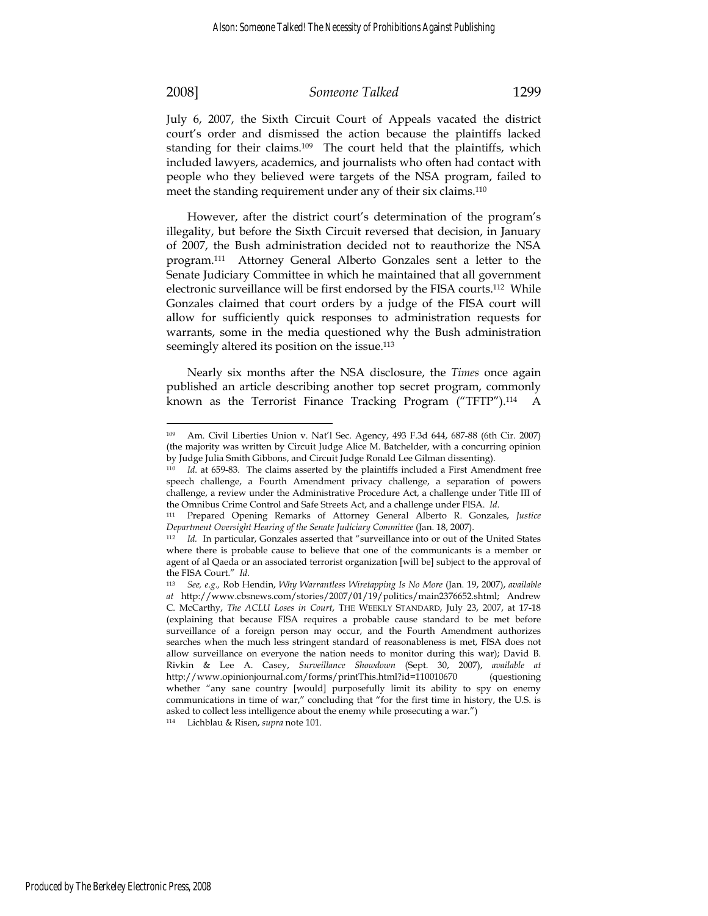### 2008] *Someone Talked* 1299

July 6, 2007, the Sixth Circuit Court of Appeals vacated the district court's order and dismissed the action because the plaintiffs lacked standing for their claims.109 The court held that the plaintiffs, which included lawyers, academics, and journalists who often had contact with people who they believed were targets of the NSA program, failed to meet the standing requirement under any of their six claims.<sup>110</sup>

However, after the district court's determination of the program's illegality, but before the Sixth Circuit reversed that decision, in January of 2007, the Bush administration decided not to reauthorize the NSA program.111 Attorney General Alberto Gonzales sent a letter to the Senate Judiciary Committee in which he maintained that all government electronic surveillance will be first endorsed by the FISA courts.112 While Gonzales claimed that court orders by a judge of the FISA court will allow for sufficiently quick responses to administration requests for warrants, some in the media questioned why the Bush administration seemingly altered its position on the issue.<sup>113</sup>

Nearly six months after the NSA disclosure, the *Times* once again published an article describing another top secret program, commonly known as the Terrorist Finance Tracking Program ("TFTP").114 A

<sup>109</sup> Am. Civil Liberties Union v. Nat'l Sec. Agency, 493 F.3d 644, 687-88 (6th Cir. 2007) (the majority was written by Circuit Judge Alice M. Batchelder, with a concurring opinion by Judge Julia Smith Gibbons, and Circuit Judge Ronald Lee Gilman dissenting).

<sup>110</sup> *Id*. at 659-83. The claims asserted by the plaintiffs included a First Amendment free speech challenge, a Fourth Amendment privacy challenge, a separation of powers challenge, a review under the Administrative Procedure Act, a challenge under Title III of the Omnibus Crime Control and Safe Streets Act, and a challenge under FISA. *Id.* 

<sup>111</sup> Prepared Opening Remarks of Attorney General Alberto R. Gonzales, *Justice* 

*Department Oversight Hearing of the Senate Judiciary Committee* (Jan. 18, 2007). 112 *Id.* In particular, Gonzales asserted that "surveillance into or out of the United States where there is probable cause to believe that one of the communicants is a member or agent of al Qaeda or an associated terrorist organization [will be] subject to the approval of the FISA Court." *Id*.

<sup>113</sup> *See, e.g.,* Rob Hendin, *Why Warrantless Wiretapping Is No More* (Jan. 19, 2007), *available at* http://www.cbsnews.com/stories/2007/01/19/politics/main2376652.shtml; Andrew C. McCarthy, *The ACLU Loses in Court*, THE WEEKLY STANDARD, July 23, 2007, at 17-18 (explaining that because FISA requires a probable cause standard to be met before surveillance of a foreign person may occur, and the Fourth Amendment authorizes searches when the much less stringent standard of reasonableness is met, FISA does not allow surveillance on everyone the nation needs to monitor during this war); David B. Rivkin & Lee A. Casey, *Surveillance Showdown* (Sept. 30, 2007), *available at*  http://www.opinionjournal.com/forms/printThis.html?id=110010670 (questioning whether "any sane country [would] purposefully limit its ability to spy on enemy communications in time of war," concluding that "for the first time in history, the U.S. is asked to collect less intelligence about the enemy while prosecuting a war.") 114 Lichblau & Risen, *supra* note 101.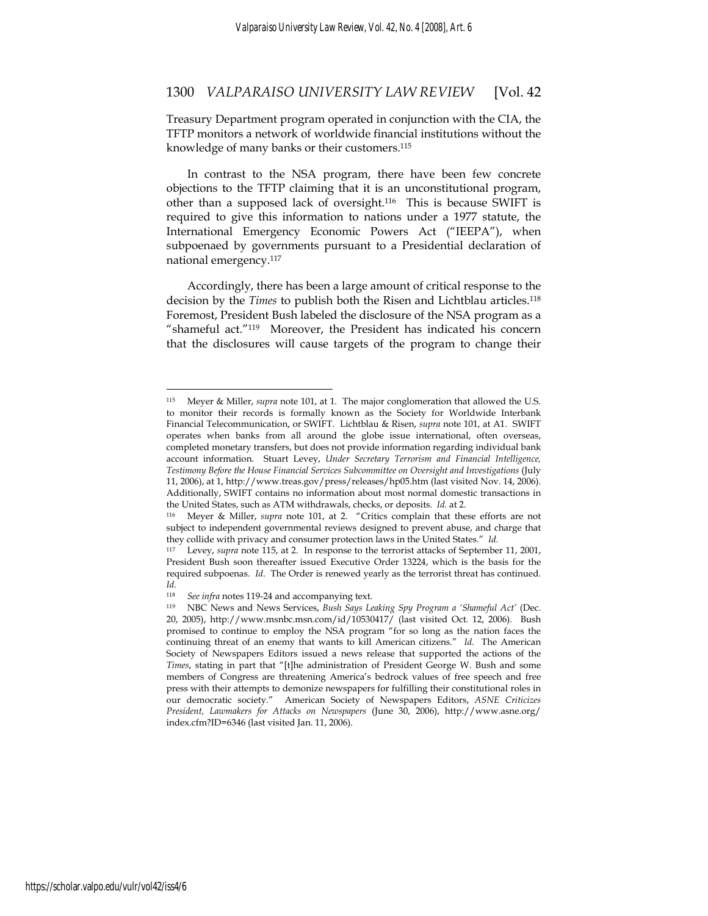Treasury Department program operated in conjunction with the CIA, the TFTP monitors a network of worldwide financial institutions without the knowledge of many banks or their customers.115

In contrast to the NSA program, there have been few concrete objections to the TFTP claiming that it is an unconstitutional program, other than a supposed lack of oversight.116 This is because SWIFT is required to give this information to nations under a 1977 statute, the International Emergency Economic Powers Act ("IEEPA"), when subpoenaed by governments pursuant to a Presidential declaration of national emergency.117

Accordingly, there has been a large amount of critical response to the decision by the *Times* to publish both the Risen and Lichtblau articles.118 Foremost, President Bush labeled the disclosure of the NSA program as a "shameful act."119 Moreover, the President has indicated his concern that the disclosures will cause targets of the program to change their

<sup>115</sup> Meyer & Miller, *supra* note 101, at 1. The major conglomeration that allowed the U.S. to monitor their records is formally known as the Society for Worldwide Interbank Financial Telecommunication, or SWIFT. Lichtblau & Risen, *supra* note 101, at A1. SWIFT operates when banks from all around the globe issue international, often overseas, completed monetary transfers, but does not provide information regarding individual bank account information. Stuart Levey, *Under Secretary Terrorism and Financial Intelligence, Testimony Before the House Financial Services Subcommittee on Oversight and Investigations* (July 11, 2006), at 1, http://www.treas.gov/press/releases/hp05.htm (last visited Nov. 14, 2006). Additionally, SWIFT contains no information about most normal domestic transactions in the United States, such as ATM withdrawals, checks, or deposits. *Id.* at 2.

<sup>116</sup> Meyer & Miller, *supra* note 101, at 2. "Critics complain that these efforts are not subject to independent governmental reviews designed to prevent abuse, and charge that they collide with privacy and consumer protection laws in the United States." *Id.*

<sup>117</sup> Levey, *supra* note 115, at 2. In response to the terrorist attacks of September 11, 2001, President Bush soon thereafter issued Executive Order 13224, which is the basis for the required subpoenas. *Id*. The Order is renewed yearly as the terrorist threat has continued. *Id.* 

<sup>118</sup> *See infra* notes 119-24 and accompanying text. 119 NBC News and News Services, *Bush Says Leaking Spy Program a 'Shameful Act'* (Dec. 20, 2005), http://www.msnbc.msn.com/id/10530417/ (last visited Oct. 12, 2006). Bush promised to continue to employ the NSA program "for so long as the nation faces the continuing threat of an enemy that wants to kill American citizens." *Id.* The American Society of Newspapers Editors issued a news release that supported the actions of the *Times*, stating in part that "[t]he administration of President George W. Bush and some members of Congress are threatening America's bedrock values of free speech and free press with their attempts to demonize newspapers for fulfilling their constitutional roles in our democratic society." American Society of Newspapers Editors, *ASNE Criticizes President, Lawmakers for Attacks on Newspapers* (June 30, 2006), http://www.asne.org/ index.cfm?ID=6346 (last visited Jan. 11, 2006).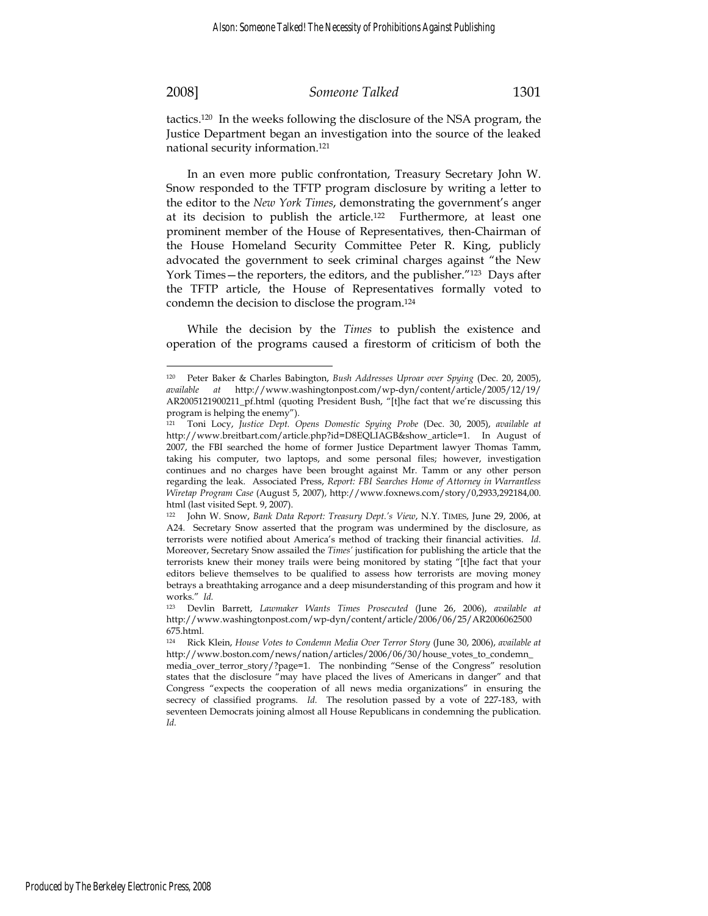### 2008] *Someone Talked* 1301

tactics.120 In the weeks following the disclosure of the NSA program, the Justice Department began an investigation into the source of the leaked national security information.121

In an even more public confrontation, Treasury Secretary John W. Snow responded to the TFTP program disclosure by writing a letter to the editor to the *New York Times*, demonstrating the government's anger at its decision to publish the article.122 Furthermore, at least one prominent member of the House of Representatives, then-Chairman of the House Homeland Security Committee Peter R. King, publicly advocated the government to seek criminal charges against "the New York Times—the reporters, the editors, and the publisher."123 Days after the TFTP article, the House of Representatives formally voted to condemn the decision to disclose the program.124

While the decision by the *Times* to publish the existence and operation of the programs caused a firestorm of criticism of both the

<sup>120</sup> Peter Baker & Charles Babington, *Bush Addresses Uproar over Spying* (Dec. 20, 2005), *available at* http://www.washingtonpost.com/wp-dyn/content/article/2005/12/19/ AR2005121900211\_pf.html (quoting President Bush, "[t]he fact that we're discussing this program is helping the enemy").

<sup>121</sup> Toni Locy, *Justice Dept. Opens Domestic Spying Probe* (Dec. 30, 2005), *available at*  http://www.breitbart.com/article.php?id=D8EQLIAGB&show\_article=1. In August of 2007, the FBI searched the home of former Justice Department lawyer Thomas Tamm, taking his computer, two laptops, and some personal files; however, investigation continues and no charges have been brought against Mr. Tamm or any other person regarding the leak. Associated Press, *Report: FBI Searches Home of Attorney in Warrantless Wiretap Program Case* (August 5, 2007), http://www.foxnews.com/story/0,2933,292184,00. html (last visited Sept. 9, 2007).

<sup>122</sup> John W. Snow, *Bank Data Report: Treasury Dept.'s View*, N.Y. TIMES, June 29, 2006, at A24. Secretary Snow asserted that the program was undermined by the disclosure, as terrorists were notified about America's method of tracking their financial activities. *Id.* Moreover, Secretary Snow assailed the *Times'* justification for publishing the article that the terrorists knew their money trails were being monitored by stating "[t]he fact that your editors believe themselves to be qualified to assess how terrorists are moving money betrays a breathtaking arrogance and a deep misunderstanding of this program and how it works." *Id.* 

<sup>123</sup> Devlin Barrett, *Lawmaker Wants Times Prosecuted* (June 26, 2006), *available at*  http://www.washingtonpost.com/wp-dyn/content/article/2006/06/25/AR2006062500 675.html.

<sup>124</sup> Rick Klein, *House Votes to Condemn Media Over Terror Story* (June 30, 2006), *available at*  http://www.boston.com/news/nation/articles/2006/06/30/house\_votes\_to\_condemn\_

media\_over\_terror\_story/?page=1. The nonbinding "Sense of the Congress" resolution states that the disclosure "may have placed the lives of Americans in danger" and that Congress "expects the cooperation of all news media organizations" in ensuring the secrecy of classified programs. *Id.* The resolution passed by a vote of 227-183, with seventeen Democrats joining almost all House Republicans in condemning the publication. *Id.*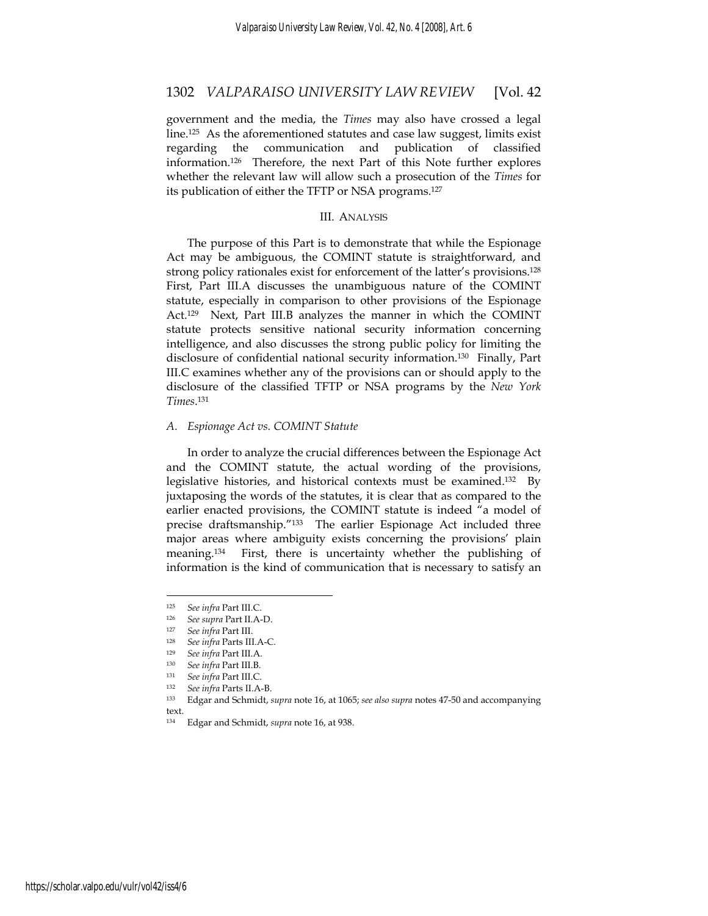government and the media, the *Times* may also have crossed a legal line.125 As the aforementioned statutes and case law suggest, limits exist regarding the communication and publication of classified information.126 Therefore, the next Part of this Note further explores whether the relevant law will allow such a prosecution of the *Times* for its publication of either the TFTP or NSA programs.127

#### III. ANALYSIS

The purpose of this Part is to demonstrate that while the Espionage Act may be ambiguous, the COMINT statute is straightforward, and strong policy rationales exist for enforcement of the latter's provisions.<sup>128</sup> First, Part III.A discusses the unambiguous nature of the COMINT statute, especially in comparison to other provisions of the Espionage Act.129 Next, Part III.B analyzes the manner in which the COMINT statute protects sensitive national security information concerning intelligence, and also discusses the strong public policy for limiting the disclosure of confidential national security information.130 Finally, Part III.C examines whether any of the provisions can or should apply to the disclosure of the classified TFTP or NSA programs by the *New York Times*. 131

#### *A. Espionage Act vs. COMINT Statute*

In order to analyze the crucial differences between the Espionage Act and the COMINT statute, the actual wording of the provisions, legislative histories, and historical contexts must be examined.132 By juxtaposing the words of the statutes, it is clear that as compared to the earlier enacted provisions, the COMINT statute is indeed "a model of precise draftsmanship."133 The earlier Espionage Act included three major areas where ambiguity exists concerning the provisions' plain meaning.134 First, there is uncertainty whether the publishing of information is the kind of communication that is necessary to satisfy an

<sup>125</sup> *See infra* Part III.C.

<sup>126</sup> *See supra* Part II.A-D. 127 *See infra* Part III. 128 *See infra* Parts III.A-C. 129 *See infra* Part III.A.

<sup>130</sup> *See infra* Part III.B.

<sup>131</sup> *See infra* Part III.C. 132 *See infra* Parts II.A-B. 133 Edgar and Schmidt, *supra* note 16, at 1065; *see also supra* notes 47-50 and accompanying

text.

<sup>134</sup> Edgar and Schmidt, *supra* note 16, at 938.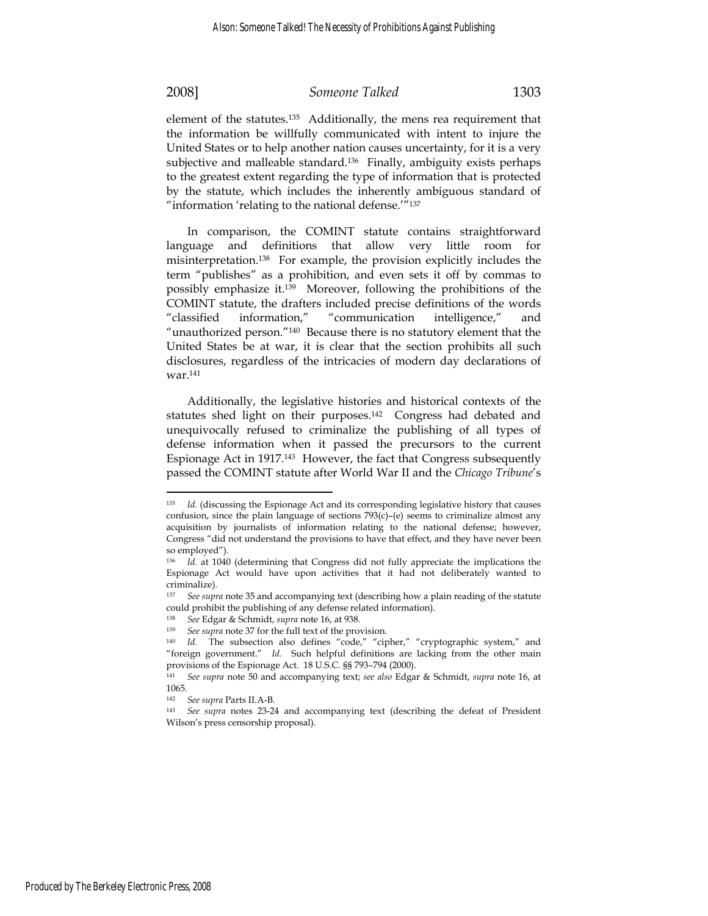#### 2008] *Someone Talked* 1303

element of the statutes.<sup>135</sup> Additionally, the mens rea requirement that the information be willfully communicated with intent to injure the United States or to help another nation causes uncertainty, for it is a very subjective and malleable standard.<sup>136</sup> Finally, ambiguity exists perhaps to the greatest extent regarding the type of information that is protected by the statute, which includes the inherently ambiguous standard of "information 'relating to the national defense.'"137

In comparison, the COMINT statute contains straightforward language and definitions that allow very little room for misinterpretation.138 For example, the provision explicitly includes the term "publishes" as a prohibition, and even sets it off by commas to possibly emphasize it.139 Moreover, following the prohibitions of the COMINT statute, the drafters included precise definitions of the words "classified information," "communication intelligence," and "unauthorized person."140 Because there is no statutory element that the United States be at war, it is clear that the section prohibits all such disclosures, regardless of the intricacies of modern day declarations of war.141

Additionally, the legislative histories and historical contexts of the statutes shed light on their purposes.142 Congress had debated and unequivocally refused to criminalize the publishing of all types of defense information when it passed the precursors to the current Espionage Act in 1917.143 However, the fact that Congress subsequently passed the COMINT statute after World War II and the *Chicago Tribune*'s

<sup>135</sup> *Id.* (discussing the Espionage Act and its corresponding legislative history that causes confusion, since the plain language of sections  $793(c)$ –(e) seems to criminalize almost any acquisition by journalists of information relating to the national defense; however, Congress "did not understand the provisions to have that effect, and they have never been so employed").

<sup>136</sup> *Id.* at 1040 (determining that Congress did not fully appreciate the implications the Espionage Act would have upon activities that it had not deliberately wanted to criminalize).

<sup>137</sup> *See supra* note 35 and accompanying text (describing how a plain reading of the statute could prohibit the publishing of any defense related information).

<sup>138</sup> *See* Edgar & Schmidt, *supra* note 16, at 938. 139 *See supra* note 37 for the full text of the provision. 140 *Id.* The subsection also defines "code," "cipher," "cryptographic system," and "foreign government." *Id.* Such helpful definitions are lacking from the other main provisions of the Espionage Act. 18 U.S.C. §§ 793–794 (2000).

<sup>141</sup> *See supra* note 50 and accompanying text; *see also* Edgar & Schmidt, *supra* note 16, at 1065.

<sup>142</sup> *See supra* Parts II.A-B.

<sup>143</sup> *See supra* notes 23-24 and accompanying text (describing the defeat of President Wilson's press censorship proposal).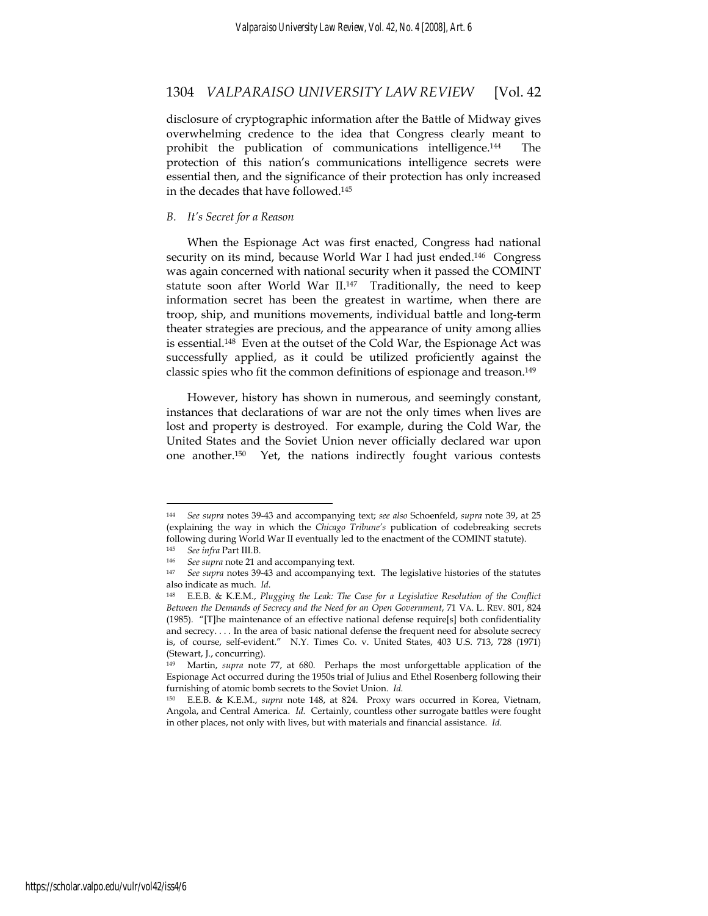disclosure of cryptographic information after the Battle of Midway gives overwhelming credence to the idea that Congress clearly meant to prohibit the publication of communications intelligence.144 The protection of this nation's communications intelligence secrets were essential then, and the significance of their protection has only increased in the decades that have followed.145

#### *B. It's Secret for a Reason*

When the Espionage Act was first enacted, Congress had national security on its mind, because World War I had just ended.<sup>146</sup> Congress was again concerned with national security when it passed the COMINT statute soon after World War II.<sup>147</sup> Traditionally, the need to keep information secret has been the greatest in wartime, when there are troop, ship, and munitions movements, individual battle and long-term theater strategies are precious, and the appearance of unity among allies is essential.148 Even at the outset of the Cold War, the Espionage Act was successfully applied, as it could be utilized proficiently against the classic spies who fit the common definitions of espionage and treason.149

However, history has shown in numerous, and seemingly constant, instances that declarations of war are not the only times when lives are lost and property is destroyed. For example, during the Cold War, the United States and the Soviet Union never officially declared war upon one another.150 Yet, the nations indirectly fought various contests

<sup>144</sup> *See supra* notes 39-43 and accompanying text; *see also* Schoenfeld, *supra* note 39, at 25 (explaining the way in which the *Chicago Tribune's* publication of codebreaking secrets following during World War II eventually led to the enactment of the COMINT statute). <sup>145</sup> *See infra* Part III.B.

<sup>146</sup> *See supra* note 21 and accompanying text. 147 *See supra* notes 39-43 and accompanying text. The legislative histories of the statutes also indicate as much. *Id.*

<sup>148</sup> E.E.B. & K.E.M., *Plugging the Leak: The Case for a Legislative Resolution of the Conflict Between the Demands of Secrecy and the Need for an Open Government*, 71 VA. L. REV. 801, 824 (1985). "[T]he maintenance of an effective national defense require[s] both confidentiality and secrecy. . . . In the area of basic national defense the frequent need for absolute secrecy is, of course, self-evident." N.Y. Times Co. v. United States, 403 U.S. 713, 728 (1971) (Stewart, J., concurring).

<sup>149</sup> Martin, *supra* note 77, at 680. Perhaps the most unforgettable application of the Espionage Act occurred during the 1950s trial of Julius and Ethel Rosenberg following their furnishing of atomic bomb secrets to the Soviet Union. *Id.*

<sup>150</sup> E.E.B. & K.E.M., *supra* note 148, at 824. Proxy wars occurred in Korea, Vietnam, Angola, and Central America. *Id.* Certainly, countless other surrogate battles were fought in other places, not only with lives, but with materials and financial assistance. *Id.*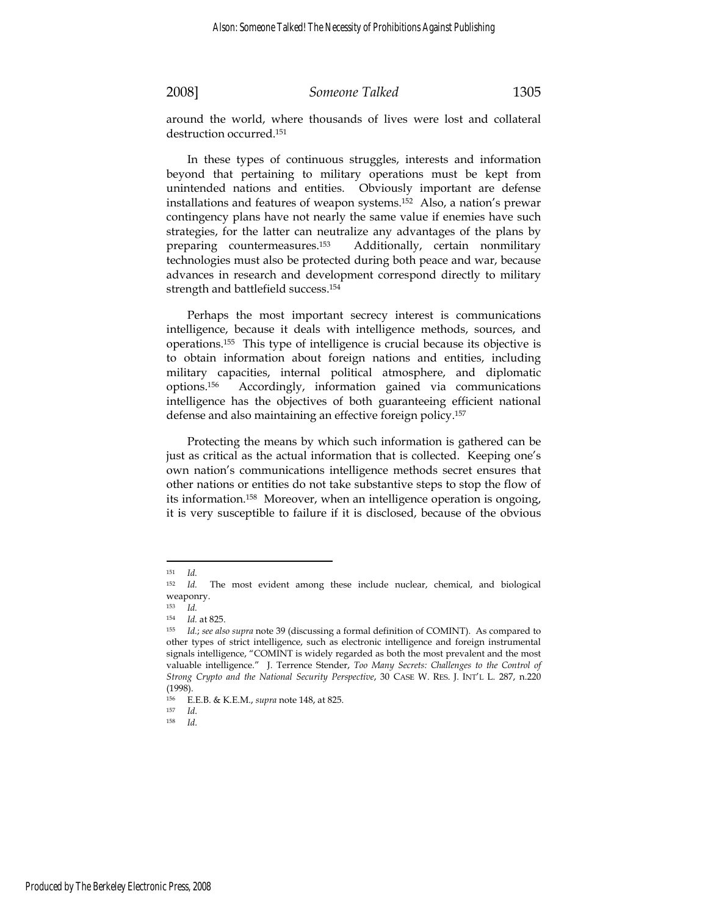around the world, where thousands of lives were lost and collateral destruction occurred.151

In these types of continuous struggles, interests and information beyond that pertaining to military operations must be kept from unintended nations and entities. Obviously important are defense installations and features of weapon systems.152 Also, a nation's prewar contingency plans have not nearly the same value if enemies have such strategies, for the latter can neutralize any advantages of the plans by preparing countermeasures.153 Additionally, certain nonmilitary technologies must also be protected during both peace and war, because advances in research and development correspond directly to military strength and battlefield success.154

Perhaps the most important secrecy interest is communications intelligence, because it deals with intelligence methods, sources, and operations.155 This type of intelligence is crucial because its objective is to obtain information about foreign nations and entities, including military capacities, internal political atmosphere, and diplomatic options.156 Accordingly, information gained via communications intelligence has the objectives of both guaranteeing efficient national defense and also maintaining an effective foreign policy.157

Protecting the means by which such information is gathered can be just as critical as the actual information that is collected. Keeping one's own nation's communications intelligence methods secret ensures that other nations or entities do not take substantive steps to stop the flow of its information.158 Moreover, when an intelligence operation is ongoing, it is very susceptible to failure if it is disclosed, because of the obvious

<sup>151</sup> *Id.*  The most evident among these include nuclear, chemical, and biological weaponry.

<sup>153</sup> *Id.*

<sup>154</sup> *Id.* at 825. 155 *Id.*; *see also supra* note 39 (discussing a formal definition of COMINT). As compared to other types of strict intelligence, such as electronic intelligence and foreign instrumental signals intelligence, "COMINT is widely regarded as both the most prevalent and the most valuable intelligence." J. Terrence Stender, *Too Many Secrets: Challenges to the Control of Strong Crypto and the National Security Perspective*, 30 CASE W. RES. J. INT'L L. 287, n.220 (1998).

<sup>156</sup> E.E.B. & K.E.M., *supra* note 148, at 825.

<sup>157</sup> *Id*. 158 *Id*.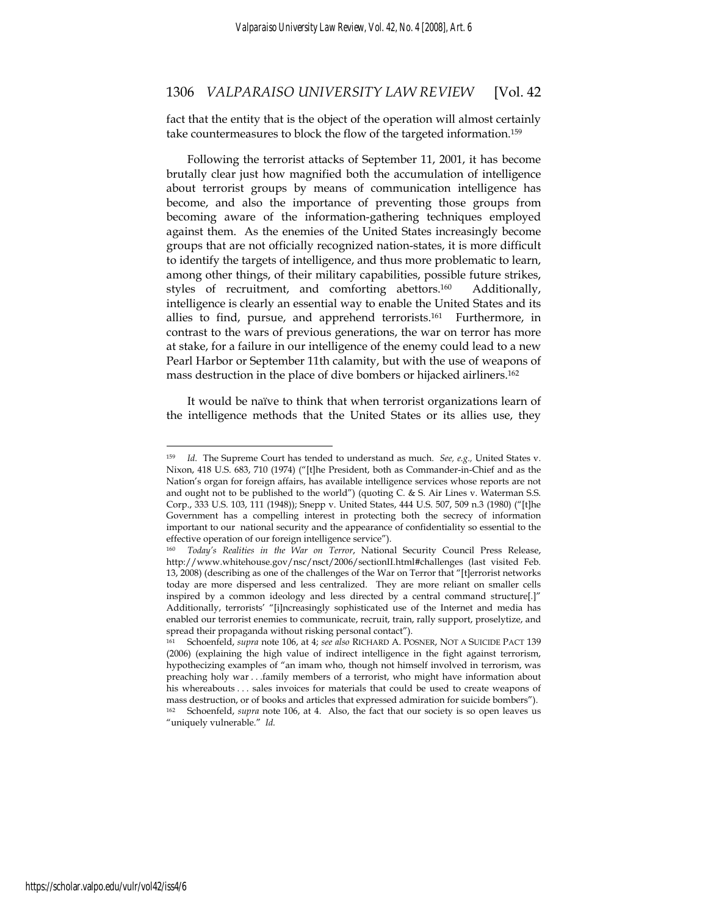fact that the entity that is the object of the operation will almost certainly take countermeasures to block the flow of the targeted information.159

Following the terrorist attacks of September 11, 2001, it has become brutally clear just how magnified both the accumulation of intelligence about terrorist groups by means of communication intelligence has become, and also the importance of preventing those groups from becoming aware of the information-gathering techniques employed against them. As the enemies of the United States increasingly become groups that are not officially recognized nation-states, it is more difficult to identify the targets of intelligence, and thus more problematic to learn, among other things, of their military capabilities, possible future strikes, styles of recruitment, and comforting abettors.160 Additionally, intelligence is clearly an essential way to enable the United States and its allies to find, pursue, and apprehend terrorists.161 Furthermore, in contrast to the wars of previous generations, the war on terror has more at stake, for a failure in our intelligence of the enemy could lead to a new Pearl Harbor or September 11th calamity, but with the use of weapons of mass destruction in the place of dive bombers or hijacked airliners.162

It would be naïve to think that when terrorist organizations learn of the intelligence methods that the United States or its allies use, they

Id. The Supreme Court has tended to understand as much. *See, e.g.*, United States v. Nixon, 418 U.S. 683, 710 (1974) ("[t]he President, both as Commander-in-Chief and as the Nation's organ for foreign affairs, has available intelligence services whose reports are not and ought not to be published to the world") (quoting C. & S. Air Lines v. Waterman S.S. Corp., 333 U.S. 103, 111 (1948)); Snepp v. United States, 444 U.S. 507, 509 n.3 (1980) ("[t]he Government has a compelling interest in protecting both the secrecy of information important to our national security and the appearance of confidentiality so essential to the effective operation of our foreign intelligence service").

<sup>160</sup> *Today's Realities in the War on Terror*, National Security Council Press Release, http://www.whitehouse.gov/nsc/nsct/2006/sectionII.html#challenges (last visited Feb. 13, 2008) (describing as one of the challenges of the War on Terror that "[t]errorist networks today are more dispersed and less centralized. They are more reliant on smaller cells inspired by a common ideology and less directed by a central command structure[.]" Additionally, terrorists' "[i]ncreasingly sophisticated use of the Internet and media has enabled our terrorist enemies to communicate, recruit, train, rally support, proselytize, and spread their propaganda without risking personal contact").

<sup>161</sup> Schoenfeld, *supra* note 106, at 4; *see also* RICHARD A. POSNER, NOT A SUICIDE PACT 139 (2006) (explaining the high value of indirect intelligence in the fight against terrorism, hypothecizing examples of "an imam who, though not himself involved in terrorism, was preaching holy war . . .family members of a terrorist, who might have information about his whereabouts . . . sales invoices for materials that could be used to create weapons of mass destruction, or of books and articles that expressed admiration for suicide bombers").

<sup>162</sup> Schoenfeld, *supra* note 106, at 4. Also, the fact that our society is so open leaves us "uniquely vulnerable." *Id.*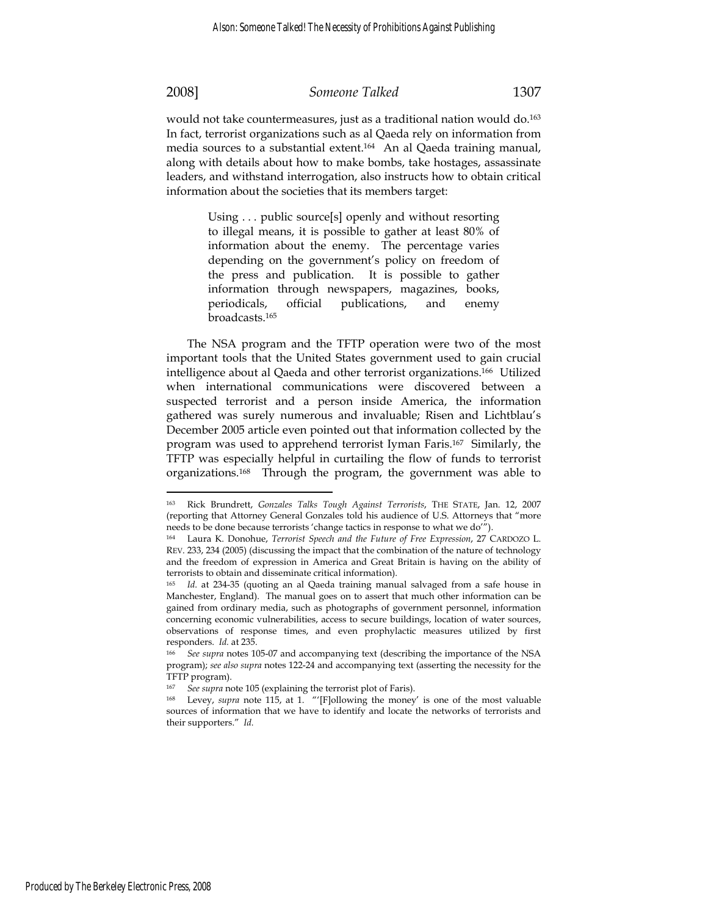2008] *Someone Talked* 1307

would not take countermeasures, just as a traditional nation would do.<sup>163</sup> In fact, terrorist organizations such as al Qaeda rely on information from media sources to a substantial extent.164 An al Qaeda training manual, along with details about how to make bombs, take hostages, assassinate leaders, and withstand interrogation, also instructs how to obtain critical information about the societies that its members target:

> Using . . . public source[s] openly and without resorting to illegal means, it is possible to gather at least 80% of information about the enemy. The percentage varies depending on the government's policy on freedom of the press and publication. It is possible to gather information through newspapers, magazines, books, periodicals, official publications, and enemy broadcasts.165

The NSA program and the TFTP operation were two of the most important tools that the United States government used to gain crucial intelligence about al Qaeda and other terrorist organizations.166 Utilized when international communications were discovered between a suspected terrorist and a person inside America, the information gathered was surely numerous and invaluable; Risen and Lichtblau's December 2005 article even pointed out that information collected by the program was used to apprehend terrorist Iyman Faris.167 Similarly, the TFTP was especially helpful in curtailing the flow of funds to terrorist organizations.168 Through the program, the government was able to

<sup>163</sup> Rick Brundrett, *Gonzales Talks Tough Against Terrorists*, THE STATE, Jan. 12, 2007 (reporting that Attorney General Gonzales told his audience of U.S. Attorneys that "more needs to be done because terrorists 'change tactics in response to what we do'").

<sup>164</sup> Laura K. Donohue, *Terrorist Speech and the Future of Free Expression*, 27 CARDOZO L. REV. 233, 234 (2005) (discussing the impact that the combination of the nature of technology and the freedom of expression in America and Great Britain is having on the ability of terrorists to obtain and disseminate critical information).

<sup>165</sup> *Id*. at 234-35 (quoting an al Qaeda training manual salvaged from a safe house in Manchester, England). The manual goes on to assert that much other information can be gained from ordinary media, such as photographs of government personnel, information concerning economic vulnerabilities, access to secure buildings, location of water sources, observations of response times, and even prophylactic measures utilized by first responders. *Id.* at 235.

<sup>166</sup> *See supra* notes 105-07 and accompanying text (describing the importance of the NSA program); *see also supra* notes 122-24 and accompanying text (asserting the necessity for the

TFTP program).<br><sup>167</sup> See supra note 105 (explaining the terrorist plot of Faris).

<sup>&</sup>lt;sup>168</sup> Levey, *supra* note 115, at 1. "'[F]ollowing the money' is one of the most valuable sources of information that we have to identify and locate the networks of terrorists and their supporters." *Id.*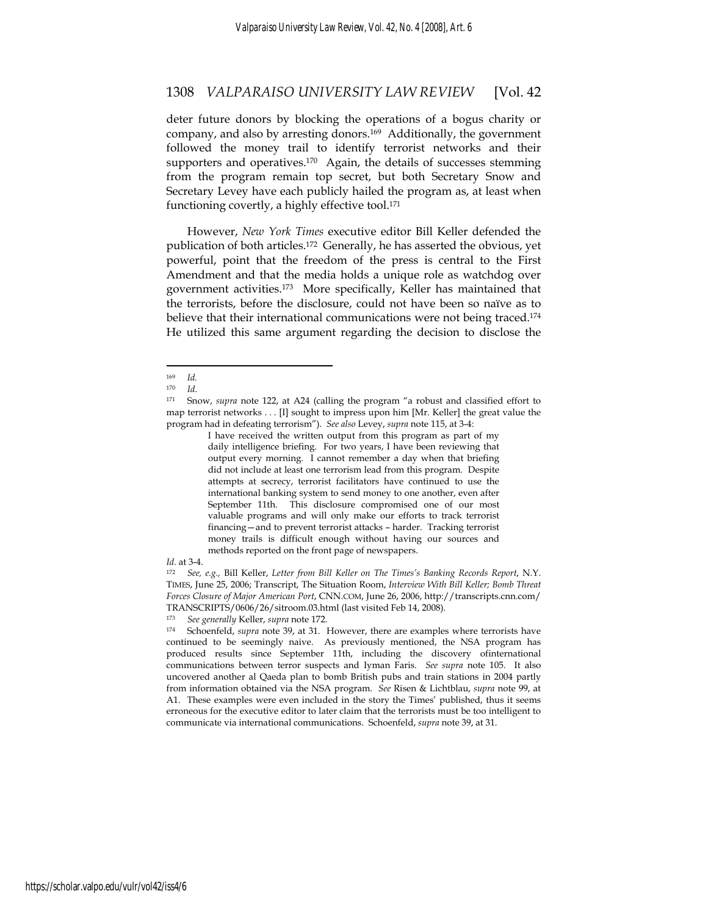deter future donors by blocking the operations of a bogus charity or company, and also by arresting donors.<sup>169</sup> Additionally, the government followed the money trail to identify terrorist networks and their supporters and operatives.<sup>170</sup> Again, the details of successes stemming from the program remain top secret, but both Secretary Snow and Secretary Levey have each publicly hailed the program as, at least when functioning covertly, a highly effective tool.<sup>171</sup>

However, *New York Times* executive editor Bill Keller defended the publication of both articles.172 Generally, he has asserted the obvious, yet powerful, point that the freedom of the press is central to the First Amendment and that the media holds a unique role as watchdog over government activities.173 More specifically, Keller has maintained that the terrorists, before the disclosure, could not have been so naïve as to believe that their international communications were not being traced.<sup>174</sup> He utilized this same argument regarding the decision to disclose the

I have received the written output from this program as part of my daily intelligence briefing. For two years, I have been reviewing that output every morning. I cannot remember a day when that briefing did not include at least one terrorism lead from this program. Despite attempts at secrecy, terrorist facilitators have continued to use the international banking system to send money to one another, even after September 11th. This disclosure compromised one of our most valuable programs and will only make our efforts to track terrorist financing—and to prevent terrorist attacks – harder. Tracking terrorist money trails is difficult enough without having our sources and methods reported on the front page of newspapers.

 $\overline{a}$  $\frac{169}{170}$  *Id.* 

<sup>170</sup> *Id*.

<sup>171</sup> Snow, *supra* note 122, at A24 (calling the program "a robust and classified effort to map terrorist networks . . . [I] sought to impress upon him [Mr. Keller] the great value the program had in defeating terrorism"). *See also* Levey, *supra* note 115, at 3-4:

*Id.* at 3-4. 172 *See, e.g.,* Bill Keller, *Letter from Bill Keller on The Times's Banking Records Report*, N.Y. TIMES, June 25, 2006; Transcript, The Situation Room, *Interview With Bill Keller; Bomb Threat Forces Closure of Major American Port*, CNN.COM, June 26, 2006, http://transcripts.cnn.com/ TRANSCRIPTS/0606/26/sitroom.03.html (last visited Feb 14, 2008).

<sup>173</sup> *See generally* Keller, *supra* note 172.

Schoenfeld, *supra* note 39, at 31. However, there are examples where terrorists have continued to be seemingly naive. As previously mentioned, the NSA program has produced results since September 11th, including the discovery ofinternational communications between terror suspects and Iyman Faris. *See supra* note 105. It also uncovered another al Qaeda plan to bomb British pubs and train stations in 2004 partly from information obtained via the NSA program. *See* Risen & Lichtblau, *supra* note 99, at A1. These examples were even included in the story the Times' published, thus it seems erroneous for the executive editor to later claim that the terrorists must be too intelligent to communicate via international communications. Schoenfeld, *supra* note 39, at 31.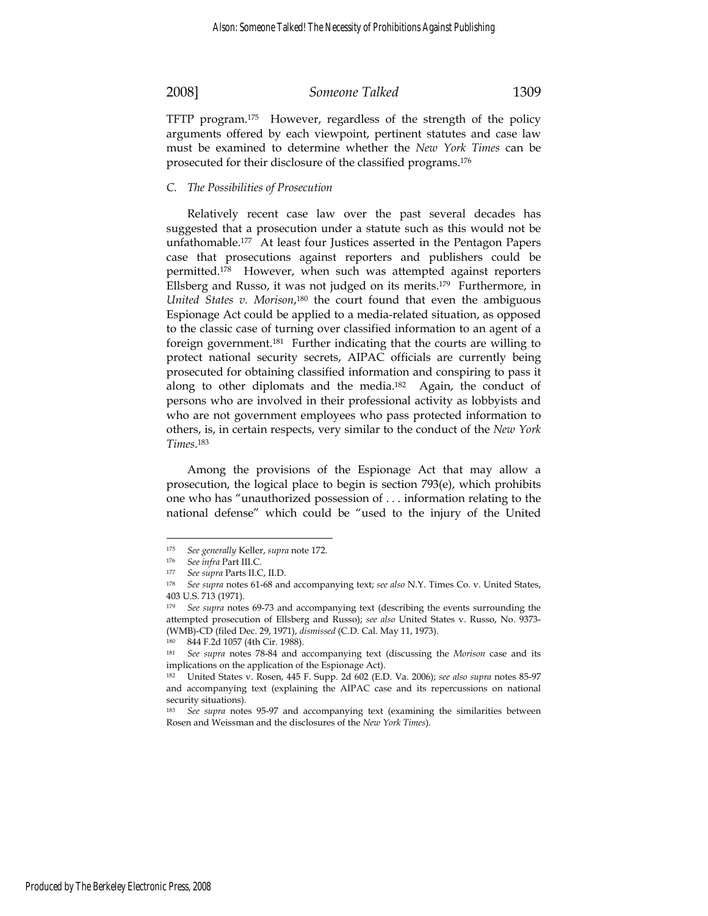TFTP program.175 However, regardless of the strength of the policy arguments offered by each viewpoint, pertinent statutes and case law must be examined to determine whether the *New York Times* can be prosecuted for their disclosure of the classified programs.176

#### *C. The Possibilities of Prosecution*

Relatively recent case law over the past several decades has suggested that a prosecution under a statute such as this would not be unfathomable.177 At least four Justices asserted in the Pentagon Papers case that prosecutions against reporters and publishers could be permitted.178 However, when such was attempted against reporters Ellsberg and Russo, it was not judged on its merits.179 Furthermore, in *United States v. Morison*, 180 the court found that even the ambiguous Espionage Act could be applied to a media-related situation, as opposed to the classic case of turning over classified information to an agent of a foreign government.181 Further indicating that the courts are willing to protect national security secrets, AIPAC officials are currently being prosecuted for obtaining classified information and conspiring to pass it along to other diplomats and the media.182 Again, the conduct of persons who are involved in their professional activity as lobbyists and who are not government employees who pass protected information to others, is, in certain respects, very similar to the conduct of the *New York Times*. 183

Among the provisions of the Espionage Act that may allow a prosecution, the logical place to begin is section 793(e), which prohibits one who has "unauthorized possession of . . . information relating to the national defense" which could be "used to the injury of the United

<sup>175</sup> *See generally* Keller, *supra* note 172.

<sup>176</sup> *See infra* Part III.C. 177 *See supra* Parts II.C, II.D. 178 *See supra* notes 61-68 and accompanying text; *see also* N.Y. Times Co. v. United States, 403 U.S. 713 (1971).

<sup>179</sup> *See supra* notes 69-73 and accompanying text (describing the events surrounding the attempted prosecution of Ellsberg and Russo); *see also* United States v. Russo, No. 9373- (WMB)-CD (filed Dec. 29, 1971), *dismissed* (C.D. Cal. May 11, 1973). 180 844 F.2d 1057 (4th Cir. 1988).

<sup>181</sup> *See supra* notes 78-84 and accompanying text (discussing the *Morison* case and its implications on the application of the Espionage Act).

<sup>182</sup> United States v. Rosen, 445 F. Supp. 2d 602 (E.D. Va. 2006); *see also supra* notes 85-97 and accompanying text (explaining the AIPAC case and its repercussions on national security situations).

<sup>183</sup> *See supra* notes 95-97 and accompanying text (examining the similarities between Rosen and Weissman and the disclosures of the *New York Times*).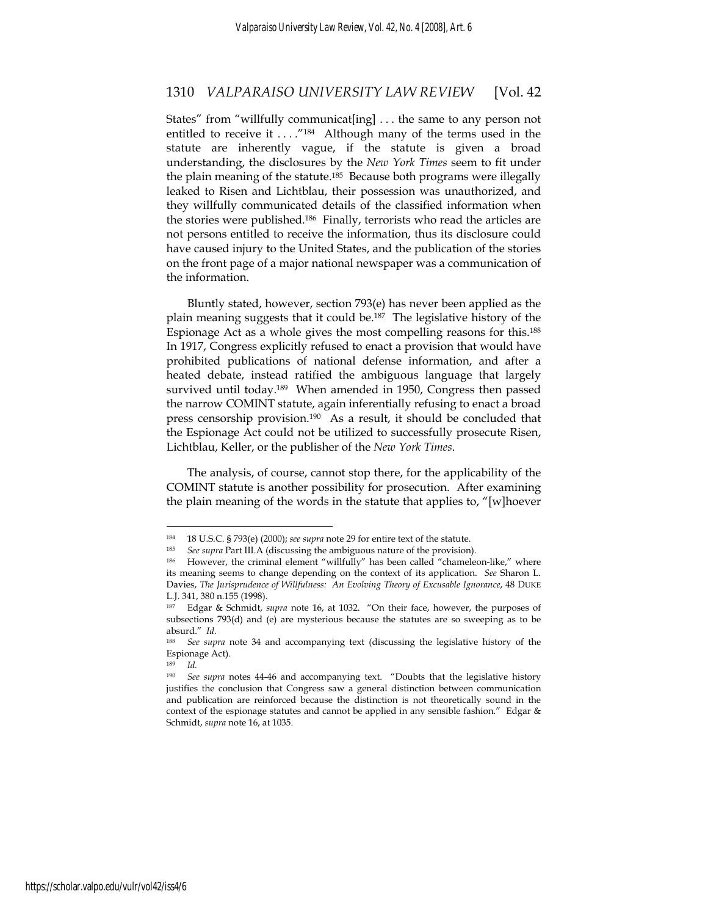States" from "willfully communicat[ing] . . . the same to any person not entitled to receive it . . . . "184 Although many of the terms used in the statute are inherently vague, if the statute is given a broad understanding, the disclosures by the *New York Times* seem to fit under the plain meaning of the statute.<sup>185</sup> Because both programs were illegally leaked to Risen and Lichtblau, their possession was unauthorized, and they willfully communicated details of the classified information when the stories were published.186 Finally, terrorists who read the articles are not persons entitled to receive the information, thus its disclosure could have caused injury to the United States, and the publication of the stories on the front page of a major national newspaper was a communication of the information.

Bluntly stated, however, section 793(e) has never been applied as the plain meaning suggests that it could be.187 The legislative history of the Espionage Act as a whole gives the most compelling reasons for this.188 In 1917, Congress explicitly refused to enact a provision that would have prohibited publications of national defense information, and after a heated debate, instead ratified the ambiguous language that largely survived until today.<sup>189</sup> When amended in 1950, Congress then passed the narrow COMINT statute, again inferentially refusing to enact a broad press censorship provision.190 As a result, it should be concluded that the Espionage Act could not be utilized to successfully prosecute Risen, Lichtblau, Keller, or the publisher of the *New York Times*.

The analysis, of course, cannot stop there, for the applicability of the COMINT statute is another possibility for prosecution. After examining the plain meaning of the words in the statute that applies to, "[w]hoever

 $189$  *Id.*<br> $190$  *S<sub>oc</sub>* 

<sup>184 18</sup> U.S.C. § 793(e) (2000); *see supra* note 29 for entire text of the statute.

<sup>185</sup> *See supra* Part III.A (discussing the ambiguous nature of the provision).

However, the criminal element "willfully" has been called "chameleon-like," where its meaning seems to change depending on the context of its application. *See* Sharon L. Davies, *The Jurisprudence of Willfulness: An Evolving Theory of Excusable Ignorance*, 48 DUKE L.J. 341, 380 n.155 (1998).

<sup>187</sup> Edgar & Schmidt, *supra* note 16, at 1032. "On their face, however, the purposes of subsections 793(d) and (e) are mysterious because the statutes are so sweeping as to be absurd." *Id.*

<sup>188</sup> *See supra* note 34 and accompanying text (discussing the legislative history of the Espionage Act).

<sup>190</sup> *See supra* notes 44-46 and accompanying text. "Doubts that the legislative history justifies the conclusion that Congress saw a general distinction between communication and publication are reinforced because the distinction is not theoretically sound in the context of the espionage statutes and cannot be applied in any sensible fashion." Edgar & Schmidt, *supra* note 16, at 1035.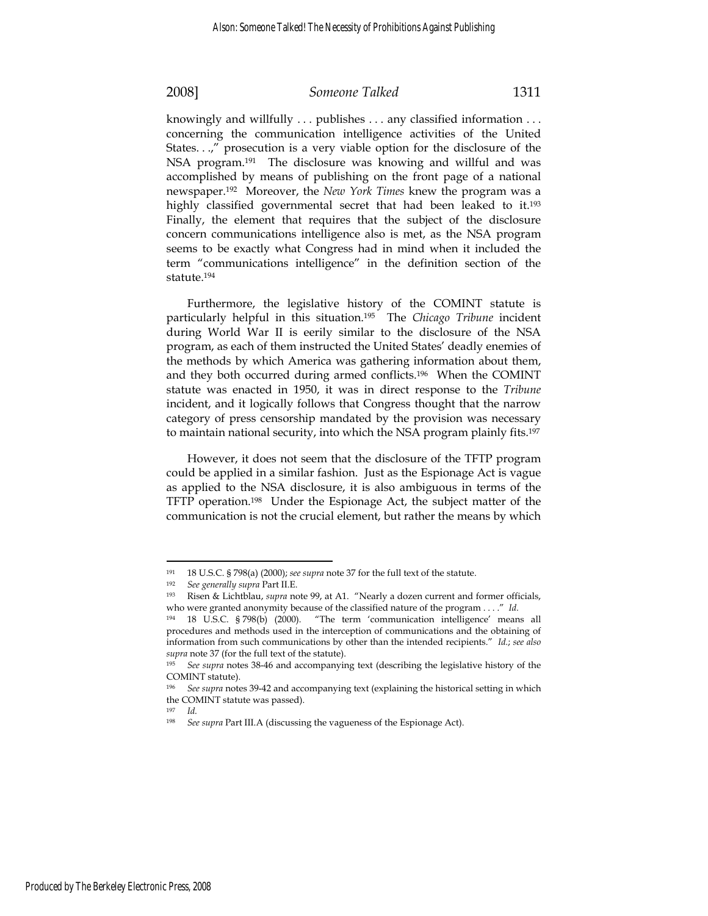knowingly and willfully . . . publishes . . . any classified information . . . concerning the communication intelligence activities of the United States. . .," prosecution is a very viable option for the disclosure of the NSA program.<sup>191</sup> The disclosure was knowing and willful and was accomplished by means of publishing on the front page of a national newspaper.192 Moreover, the *New York Times* knew the program was a highly classified governmental secret that had been leaked to it.<sup>193</sup> Finally, the element that requires that the subject of the disclosure concern communications intelligence also is met, as the NSA program seems to be exactly what Congress had in mind when it included the term "communications intelligence" in the definition section of the statute.194

Furthermore, the legislative history of the COMINT statute is particularly helpful in this situation.195 The *Chicago Tribune* incident during World War II is eerily similar to the disclosure of the NSA program, as each of them instructed the United States' deadly enemies of the methods by which America was gathering information about them, and they both occurred during armed conflicts.196 When the COMINT statute was enacted in 1950, it was in direct response to the *Tribune* incident, and it logically follows that Congress thought that the narrow category of press censorship mandated by the provision was necessary to maintain national security, into which the NSA program plainly fits.197

However, it does not seem that the disclosure of the TFTP program could be applied in a similar fashion. Just as the Espionage Act is vague as applied to the NSA disclosure, it is also ambiguous in terms of the TFTP operation.198 Under the Espionage Act, the subject matter of the communication is not the crucial element, but rather the means by which

<sup>191 18</sup> U.S.C. § 798(a) (2000); *see supra* note 37 for the full text of the statute. 192 *See generally supra* Part II.E.

<sup>193</sup> Risen & Lichtblau, *supra* note 99, at A1. "Nearly a dozen current and former officials, who were granted anonymity because of the classified nature of the program . . . ." *Id.*

<sup>194 18</sup> U.S.C. § 798(b) (2000). "The term 'communication intelligence' means all procedures and methods used in the interception of communications and the obtaining of information from such communications by other than the intended recipients." *Id.*; *see also supra* note 37 (for the full text of the statute).

<sup>195</sup> *See supra* notes 38-46 and accompanying text (describing the legislative history of the COMINT statute).

<sup>196</sup> *See supra* notes 39-42 and accompanying text (explaining the historical setting in which the COMINT statute was passed).

<sup>197</sup> *Id.* 

<sup>198</sup> *See supra* Part III.A (discussing the vagueness of the Espionage Act).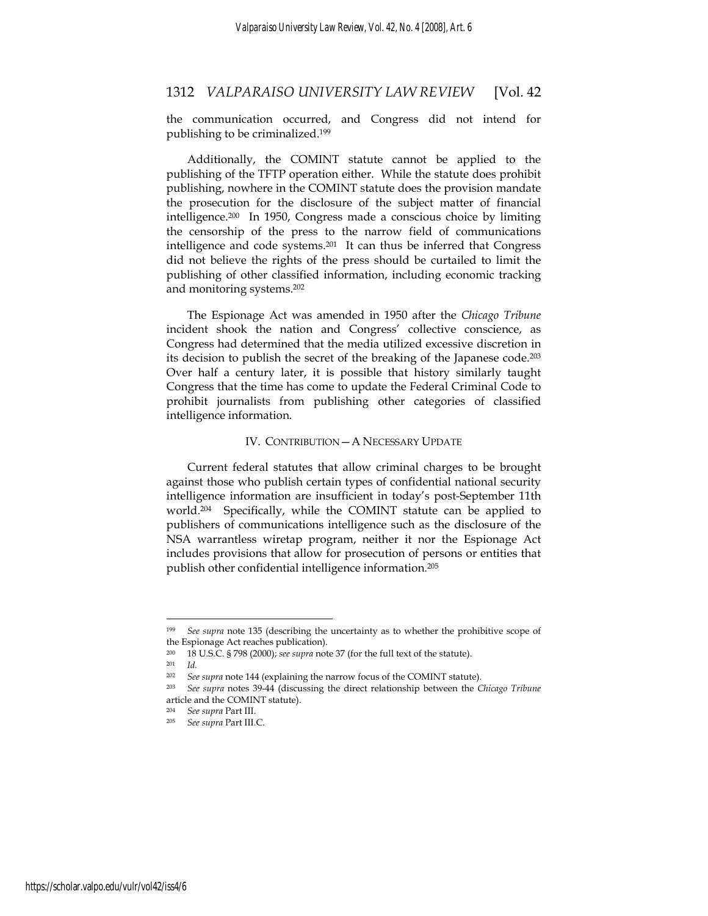the communication occurred, and Congress did not intend for publishing to be criminalized.199

Additionally, the COMINT statute cannot be applied to the publishing of the TFTP operation either. While the statute does prohibit publishing, nowhere in the COMINT statute does the provision mandate the prosecution for the disclosure of the subject matter of financial intelligence.200 In 1950, Congress made a conscious choice by limiting the censorship of the press to the narrow field of communications intelligence and code systems.201 It can thus be inferred that Congress did not believe the rights of the press should be curtailed to limit the publishing of other classified information, including economic tracking and monitoring systems.202

The Espionage Act was amended in 1950 after the *Chicago Tribune* incident shook the nation and Congress' collective conscience, as Congress had determined that the media utilized excessive discretion in its decision to publish the secret of the breaking of the Japanese code.203 Over half a century later, it is possible that history similarly taught Congress that the time has come to update the Federal Criminal Code to prohibit journalists from publishing other categories of classified intelligence information.

#### IV. CONTRIBUTION—A NECESSARY UPDATE

Current federal statutes that allow criminal charges to be brought against those who publish certain types of confidential national security intelligence information are insufficient in today's post-September 11th world.204 Specifically, while the COMINT statute can be applied to publishers of communications intelligence such as the disclosure of the NSA warrantless wiretap program, neither it nor the Espionage Act includes provisions that allow for prosecution of persons or entities that publish other confidential intelligence information.205

<sup>199</sup> *See supra* note 135 (describing the uncertainty as to whether the prohibitive scope of the Espionage Act reaches publication).

<sup>200 18</sup> U.S.C. § 798 (2000); *see supra* note 37 (for the full text of the statute).

 $\frac{201}{202}$  *Id.* 

<sup>&</sup>lt;sup>202</sup> See supra note 144 (explaining the narrow focus of the COMINT statute).<br><sup>203</sup> See supra potes 39-44 (discussing the direct relationship between the C

<sup>203</sup> *See supra* notes 39-44 (discussing the direct relationship between the *Chicago Tribune* article and the COMINT statute).

<sup>204</sup> *See supra* Part III. 205 *See supra* Part III.C.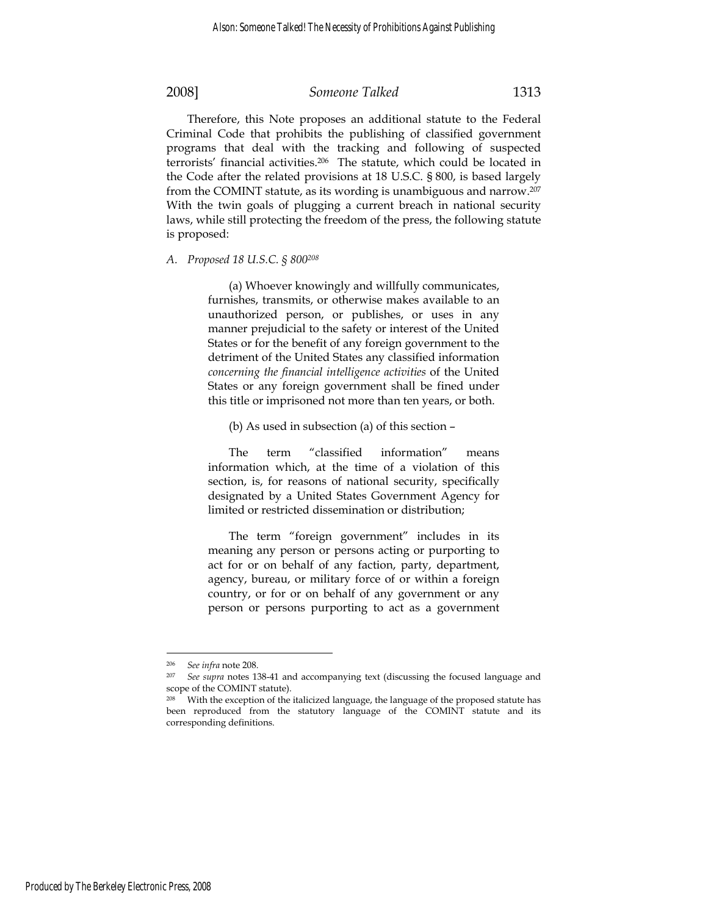Therefore, this Note proposes an additional statute to the Federal Criminal Code that prohibits the publishing of classified government programs that deal with the tracking and following of suspected terrorists' financial activities.206 The statute, which could be located in the Code after the related provisions at 18 U.S.C. § 800, is based largely from the COMINT statute, as its wording is unambiguous and narrow.207 With the twin goals of plugging a current breach in national security laws, while still protecting the freedom of the press, the following statute is proposed:

*A. Proposed 18 U.S.C. § 800208*

 (a) Whoever knowingly and willfully communicates, furnishes, transmits, or otherwise makes available to an unauthorized person, or publishes, or uses in any manner prejudicial to the safety or interest of the United States or for the benefit of any foreign government to the detriment of the United States any classified information *concerning the financial intelligence activities* of the United States or any foreign government shall be fined under this title or imprisoned not more than ten years, or both.

(b) As used in subsection (a) of this section –

 The term "classified information" means information which, at the time of a violation of this section, is, for reasons of national security, specifically designated by a United States Government Agency for limited or restricted dissemination or distribution;

 The term "foreign government" includes in its meaning any person or persons acting or purporting to act for or on behalf of any faction, party, department, agency, bureau, or military force of or within a foreign country, or for or on behalf of any government or any person or persons purporting to act as a government

<sup>206</sup> *See infra* note 208.

<sup>207</sup> *See supra* notes 138-41 and accompanying text (discussing the focused language and scope of the COMINT statute).

With the exception of the italicized language, the language of the proposed statute has been reproduced from the statutory language of the COMINT statute and its corresponding definitions.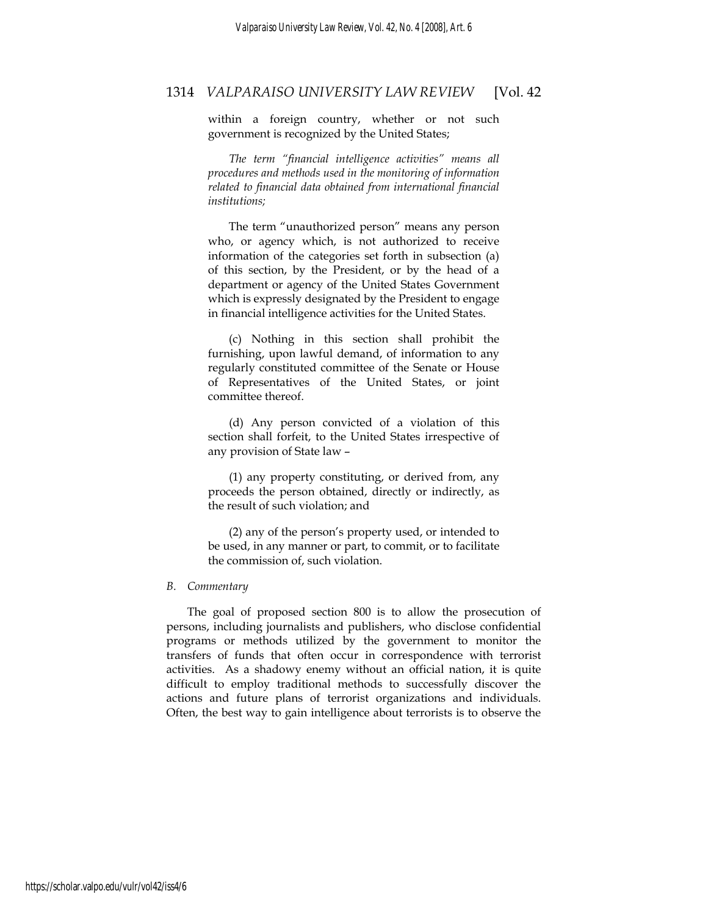within a foreign country, whether or not such government is recognized by the United States;

 *The term "financial intelligence activities" means all procedures and methods used in the monitoring of information related to financial data obtained from international financial institutions;* 

 The term "unauthorized person" means any person who, or agency which, is not authorized to receive information of the categories set forth in subsection (a) of this section, by the President, or by the head of a department or agency of the United States Government which is expressly designated by the President to engage in financial intelligence activities for the United States.

 (c) Nothing in this section shall prohibit the furnishing, upon lawful demand, of information to any regularly constituted committee of the Senate or House of Representatives of the United States, or joint committee thereof.

 (d) Any person convicted of a violation of this section shall forfeit, to the United States irrespective of any provision of State law –

 (1) any property constituting, or derived from, any proceeds the person obtained, directly or indirectly, as the result of such violation; and

 (2) any of the person's property used, or intended to be used, in any manner or part, to commit, or to facilitate the commission of, such violation.

#### *B. Commentary*

The goal of proposed section 800 is to allow the prosecution of persons, including journalists and publishers, who disclose confidential programs or methods utilized by the government to monitor the transfers of funds that often occur in correspondence with terrorist activities. As a shadowy enemy without an official nation, it is quite difficult to employ traditional methods to successfully discover the actions and future plans of terrorist organizations and individuals. Often, the best way to gain intelligence about terrorists is to observe the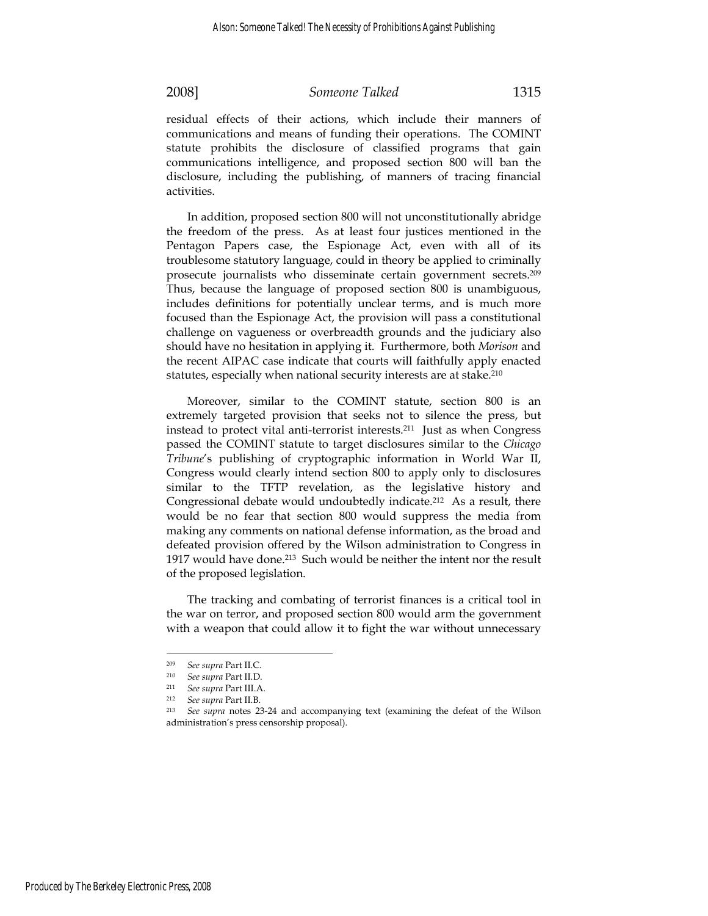residual effects of their actions, which include their manners of communications and means of funding their operations. The COMINT statute prohibits the disclosure of classified programs that gain communications intelligence, and proposed section 800 will ban the disclosure, including the publishing, of manners of tracing financial activities.

In addition, proposed section 800 will not unconstitutionally abridge the freedom of the press. As at least four justices mentioned in the Pentagon Papers case, the Espionage Act, even with all of its troublesome statutory language, could in theory be applied to criminally prosecute journalists who disseminate certain government secrets.209 Thus, because the language of proposed section 800 is unambiguous, includes definitions for potentially unclear terms, and is much more focused than the Espionage Act, the provision will pass a constitutional challenge on vagueness or overbreadth grounds and the judiciary also should have no hesitation in applying it. Furthermore, both *Morison* and the recent AIPAC case indicate that courts will faithfully apply enacted statutes, especially when national security interests are at stake.<sup>210</sup>

Moreover, similar to the COMINT statute, section 800 is an extremely targeted provision that seeks not to silence the press, but instead to protect vital anti-terrorist interests.211 Just as when Congress passed the COMINT statute to target disclosures similar to the *Chicago Tribune*'s publishing of cryptographic information in World War II, Congress would clearly intend section 800 to apply only to disclosures similar to the TFTP revelation, as the legislative history and Congressional debate would undoubtedly indicate.212 As a result, there would be no fear that section 800 would suppress the media from making any comments on national defense information, as the broad and defeated provision offered by the Wilson administration to Congress in 1917 would have done.213 Such would be neither the intent nor the result of the proposed legislation.

The tracking and combating of terrorist finances is a critical tool in the war on terror, and proposed section 800 would arm the government with a weapon that could allow it to fight the war without unnecessary

<sup>209</sup> *See supra* Part II.C.

<sup>210</sup> *See supra* Part II.D. 211 *See supra* Part III.A. 212 *See supra* Part II.B.

<sup>213</sup> *See supra* notes 23-24 and accompanying text (examining the defeat of the Wilson administration's press censorship proposal).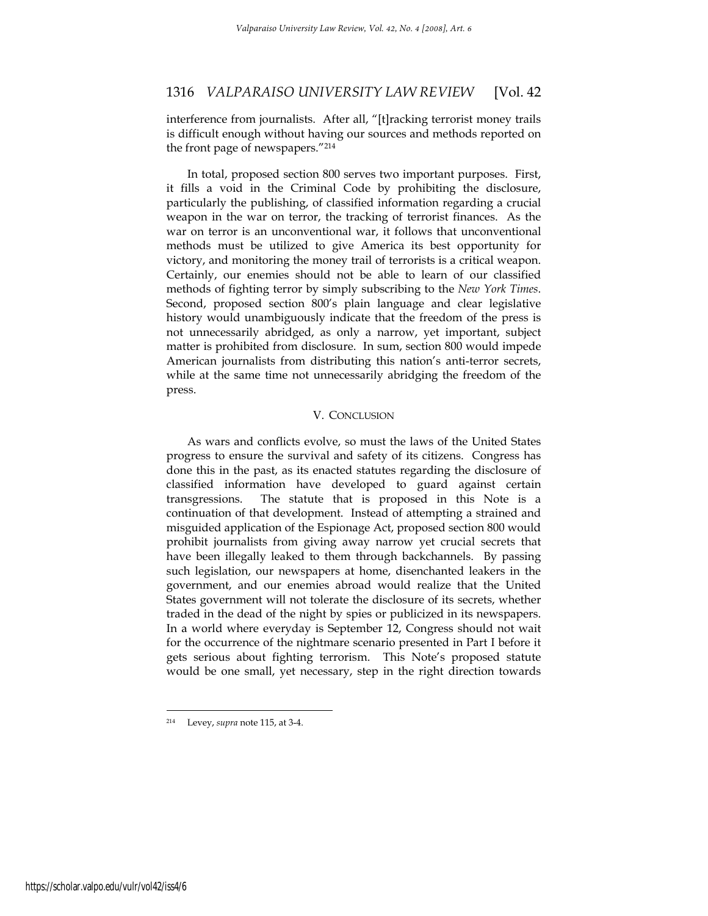interference from journalists. After all, "[t]racking terrorist money trails is difficult enough without having our sources and methods reported on the front page of newspapers."214

In total, proposed section 800 serves two important purposes. First, it fills a void in the Criminal Code by prohibiting the disclosure, particularly the publishing, of classified information regarding a crucial weapon in the war on terror, the tracking of terrorist finances. As the war on terror is an unconventional war, it follows that unconventional methods must be utilized to give America its best opportunity for victory, and monitoring the money trail of terrorists is a critical weapon. Certainly, our enemies should not be able to learn of our classified methods of fighting terror by simply subscribing to the *New York Times*. Second, proposed section 800's plain language and clear legislative history would unambiguously indicate that the freedom of the press is not unnecessarily abridged, as only a narrow, yet important, subject matter is prohibited from disclosure. In sum, section 800 would impede American journalists from distributing this nation's anti-terror secrets, while at the same time not unnecessarily abridging the freedom of the press.

#### V. CONCLUSION

As wars and conflicts evolve, so must the laws of the United States progress to ensure the survival and safety of its citizens. Congress has done this in the past, as its enacted statutes regarding the disclosure of classified information have developed to guard against certain transgressions. The statute that is proposed in this Note is a continuation of that development. Instead of attempting a strained and misguided application of the Espionage Act, proposed section 800 would prohibit journalists from giving away narrow yet crucial secrets that have been illegally leaked to them through backchannels. By passing such legislation, our newspapers at home, disenchanted leakers in the government, and our enemies abroad would realize that the United States government will not tolerate the disclosure of its secrets, whether traded in the dead of the night by spies or publicized in its newspapers. In a world where everyday is September 12, Congress should not wait for the occurrence of the nightmare scenario presented in Part I before it gets serious about fighting terrorism. This Note's proposed statute would be one small, yet necessary, step in the right direction towards

<sup>214</sup> Levey, *supra* note 115, at 3-4.